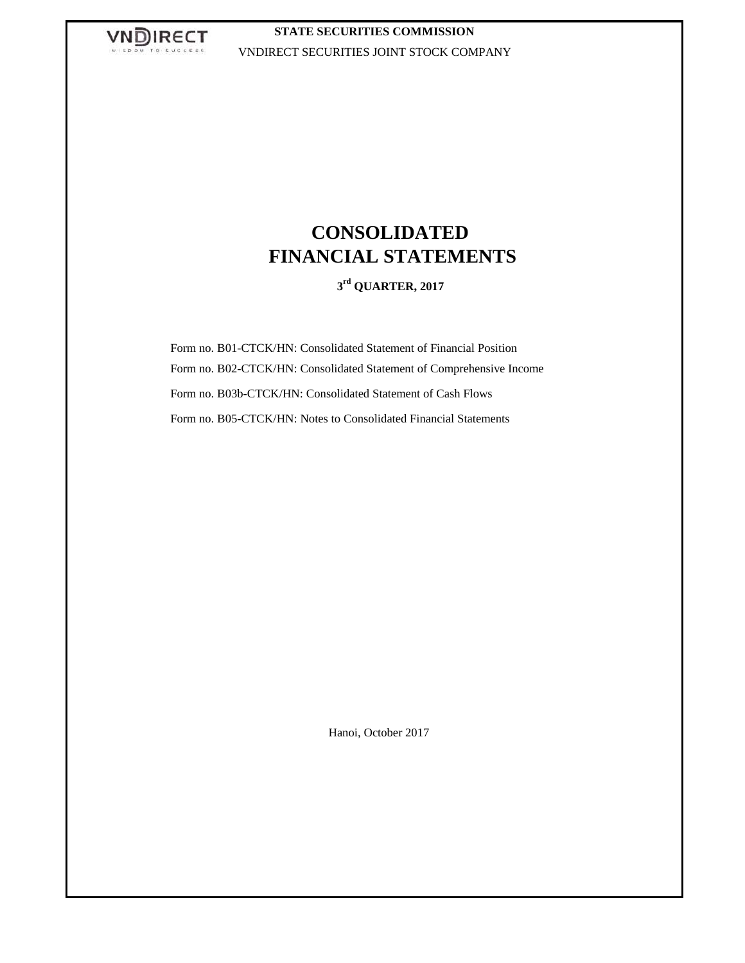

## **STATE SECURITIES COMMISSION** VNDIRECT SECURITIES JOINT STOCK COMPANY

# **CONSOLIDATED FINANCIAL STATEMENTS**

**3 rd QUARTER, 2017**

Form no. B01-CTCK/HN: Consolidated Statement of Financial Position Form no. B02-CTCK/HN: Consolidated Statement of Comprehensive Income Form no. B03b-CTCK/HN: Consolidated Statement of Cash Flows Form no. B05-CTCK/HN: Notes to Consolidated Financial Statements

Hanoi, October 2017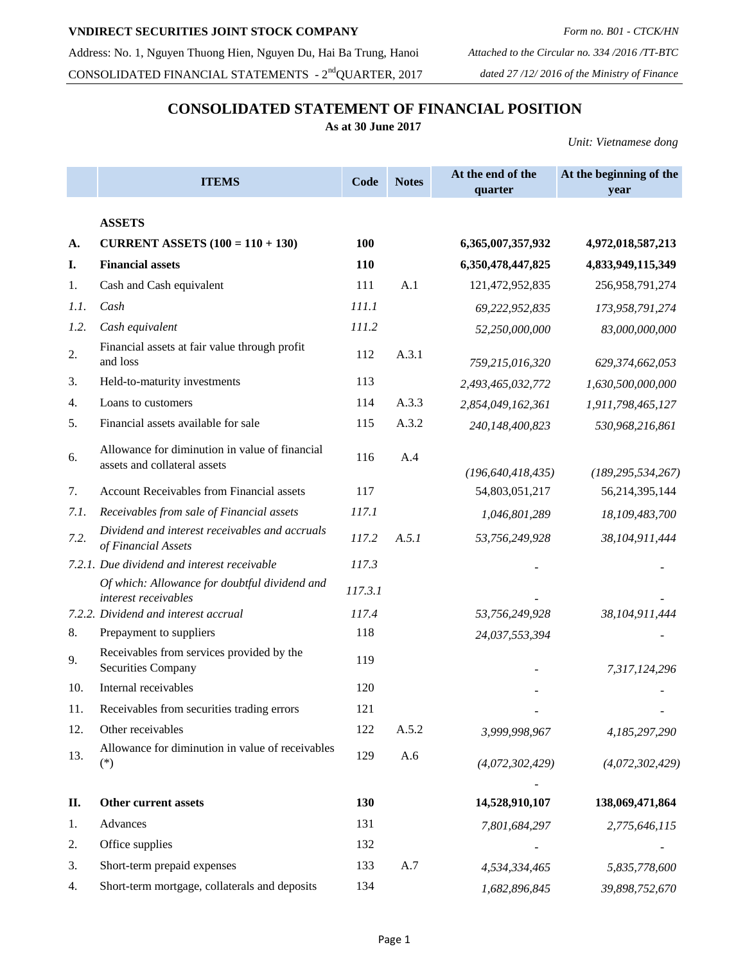## **CONSOLIDATED STATEMENT OF FINANCIAL POSITION**

**As at 30 June 2017** 

*Unit: Vietnamese dong*

*Form no. B01 - CTCK/HN*

|      | <b>ITEMS</b>                                                                                      | Code         | <b>Notes</b> | At the end of the<br>quarter | At the beginning of the<br>year |
|------|---------------------------------------------------------------------------------------------------|--------------|--------------|------------------------------|---------------------------------|
|      | <b>ASSETS</b>                                                                                     |              |              |                              |                                 |
| А.   | <b>CURRENT ASSETS</b> $(100 = 110 + 130)$                                                         | 100          |              | 6,365,007,357,932            | 4,972,018,587,213               |
| I.   | <b>Financial assets</b>                                                                           | 110          |              | 6,350,478,447,825            | 4,833,949,115,349               |
| 1.   | Cash and Cash equivalent                                                                          | 111          | A.1          | 121,472,952,835              | 256,958,791,274                 |
| 1.1. | Cash                                                                                              | 111.1        |              | 69,222,952,835               | 173,958,791,274                 |
| 1.2. | Cash equivalent                                                                                   | 111.2        |              | 52,250,000,000               | 83,000,000,000                  |
| 2.   | Financial assets at fair value through profit<br>and loss                                         | 112          | A.3.1        | 759,215,016,320              | 629,374,662,053                 |
| 3.   | Held-to-maturity investments                                                                      | 113          |              | 2,493,465,032,772            | 1,630,500,000,000               |
| 4.   | Loans to customers                                                                                | 114          | A.3.3        | 2,854,049,162,361            | 1,911,798,465,127               |
| 5.   | Financial assets available for sale                                                               | 115          | A.3.2        | 240,148,400,823              | 530,968,216,861                 |
| 6.   | Allowance for diminution in value of financial<br>assets and collateral assets                    | 116          | A.4          | (196, 640, 418, 435)         | (189, 295, 534, 267)            |
| 7.   | Account Receivables from Financial assets                                                         | 117          |              | 54,803,051,217               | 56,214,395,144                  |
| 7.1. | Receivables from sale of Financial assets                                                         | 117.1        |              | 1,046,801,289                | 18,109,483,700                  |
| 7.2. | Dividend and interest receivables and accruals<br>of Financial Assets                             | 117.2        | A.5.1        | 53,756,249,928               | 38,104,911,444                  |
|      | 7.2.1. Due dividend and interest receivable                                                       | 117.3        |              |                              |                                 |
|      | Of which: Allowance for doubtful dividend and<br>interest receivables                             | 117.3.1      |              |                              |                                 |
| 8.   | 7.2.2. Dividend and interest accrual                                                              | 117.4<br>118 |              | 53,756,249,928               | 38,104,911,444                  |
| 9.   | Prepayment to suppliers<br>Receivables from services provided by the<br><b>Securities Company</b> | 119          |              | 24,037,553,394               |                                 |
| 10.  | Internal receivables                                                                              | 120          |              |                              | 7,317,124,296                   |
| 11.  | Receivables from securities trading errors                                                        | 121          |              |                              |                                 |
| 12.  | Other receivables                                                                                 | 122          | A.5.2        | 3,999,998,967                | 4,185,297,290                   |
| 13.  | Allowance for diminution in value of receivables<br>$(*)$                                         | 129          | A.6          | (4,072,302,429)              | (4,072,302,429)                 |
| П.   | Other current assets                                                                              | 130          |              | 14,528,910,107               | 138,069,471,864                 |
| 1.   | Advances                                                                                          | 131          |              | 7,801,684,297                | 2,775,646,115                   |
| 2.   | Office supplies                                                                                   | 132          |              |                              |                                 |
| 3.   | Short-term prepaid expenses                                                                       | 133          | A.7          | 4,534,334,465                | 5,835,778,600                   |
| 4.   | Short-term mortgage, collaterals and deposits                                                     | 134          |              | 1,682,896,845                | 39,898,752,670                  |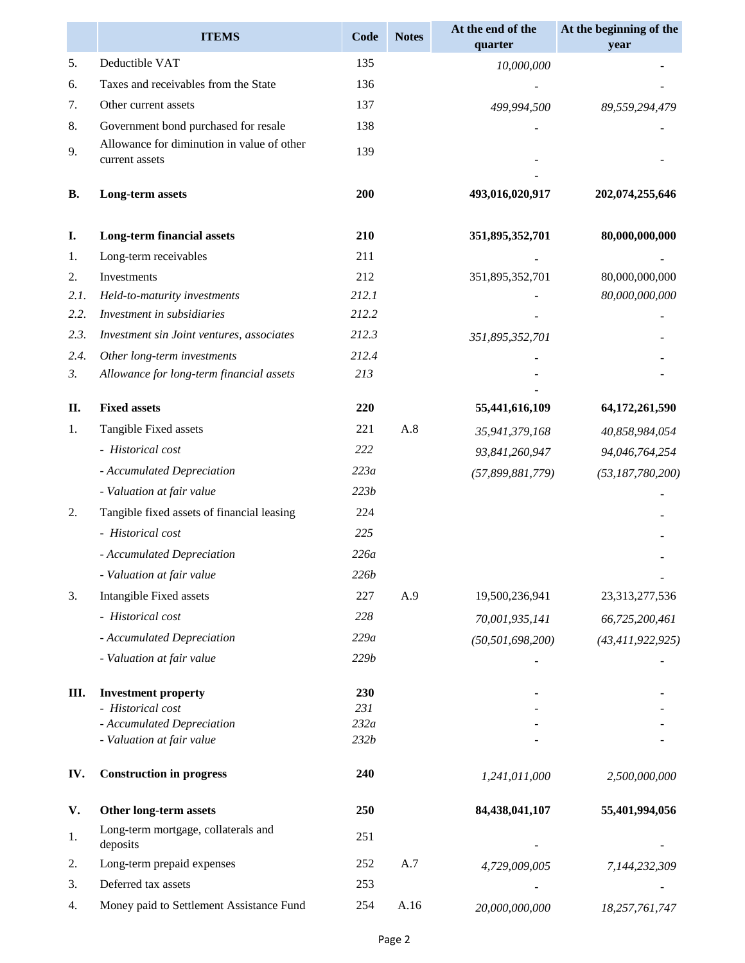|           | <b>ITEMS</b>                                                 | Code                 | <b>Notes</b> | At the end of the<br>quarter | At the beginning of the<br>year |
|-----------|--------------------------------------------------------------|----------------------|--------------|------------------------------|---------------------------------|
| 5.        | Deductible VAT                                               | 135                  |              | 10,000,000                   |                                 |
| 6.        | Taxes and receivables from the State                         | 136                  |              |                              |                                 |
| 7.        | Other current assets                                         | 137                  |              | 499,994,500                  | 89,559,294,479                  |
| 8.        | Government bond purchased for resale                         | 138                  |              |                              |                                 |
| 9.        | Allowance for diminution in value of other<br>current assets | 139                  |              |                              |                                 |
| <b>B.</b> | <b>Long-term</b> assets                                      | <b>200</b>           |              | 493,016,020,917              | 202,074,255,646                 |
| I.        | <b>Long-term financial assets</b>                            | 210                  |              | 351,895,352,701              | 80,000,000,000                  |
| 1.        | Long-term receivables                                        | 211                  |              |                              |                                 |
| 2.        | Investments                                                  | 212                  |              | 351,895,352,701              | 80,000,000,000                  |
| 2.1.      | Held-to-maturity investments                                 | 212.1                |              |                              | 80,000,000,000                  |
| 2.2.      | Investment in subsidiaries                                   | 212.2                |              |                              |                                 |
| 2.3.      | Investment sin Joint ventures, associates                    | 212.3                |              | 351,895,352,701              |                                 |
| 2.4.      | Other long-term investments                                  | 212.4                |              |                              |                                 |
| 3.        | Allowance for long-term financial assets                     | 213                  |              |                              |                                 |
| II.       | <b>Fixed assets</b>                                          | 220                  |              | 55,441,616,109               | 64,172,261,590                  |
| 1.        | Tangible Fixed assets                                        | 221                  | A.8          | 35,941,379,168               | 40,858,984,054                  |
|           | - Historical cost                                            | 222                  |              | 93,841,260,947               | 94,046,764,254                  |
|           | - Accumulated Depreciation                                   | 223a                 |              | (57,899,881,779)             | (53, 187, 780, 200)             |
|           | - Valuation at fair value                                    | 223b                 |              |                              |                                 |
| 2.        | Tangible fixed assets of financial leasing                   | 224                  |              |                              |                                 |
|           | - Historical cost                                            | 225                  |              |                              |                                 |
|           | - Accumulated Depreciation                                   | 226a                 |              |                              |                                 |
|           | - Valuation at fair value                                    | 226 <i>b</i>         |              |                              |                                 |
| 3.        | Intangible Fixed assets                                      | 227                  | A.9          | 19,500,236,941               | 23,313,277,536                  |
|           | - Historical cost                                            | 228                  |              | 70,001,935,141               | 66,725,200,461                  |
|           | - Accumulated Depreciation                                   | 229a                 |              | (50, 501, 698, 200)          | (43, 411, 922, 925)             |
|           | - Valuation at fair value                                    | 229b                 |              |                              |                                 |
| III.      | <b>Investment property</b>                                   | 230                  |              |                              |                                 |
|           | - Historical cost                                            | 231                  |              |                              |                                 |
|           | - Accumulated Depreciation<br>- Valuation at fair value      | 232a<br>232 <i>b</i> |              |                              |                                 |
|           |                                                              |                      |              |                              |                                 |
| IV.       | <b>Construction in progress</b>                              | 240                  |              | 1,241,011,000                | 2,500,000,000                   |
| V.        | Other long-term assets                                       | 250                  |              | 84,438,041,107               | 55,401,994,056                  |
| 1.        | Long-term mortgage, collaterals and<br>deposits              | 251                  |              |                              |                                 |
| 2.        | Long-term prepaid expenses                                   | 252                  | A.7          | 4,729,009,005                | 7,144,232,309                   |
| 3.        | Deferred tax assets                                          | 253                  |              |                              |                                 |
| 4.        | Money paid to Settlement Assistance Fund                     | 254                  | A.16         | 20,000,000,000               | 18,257,761,747                  |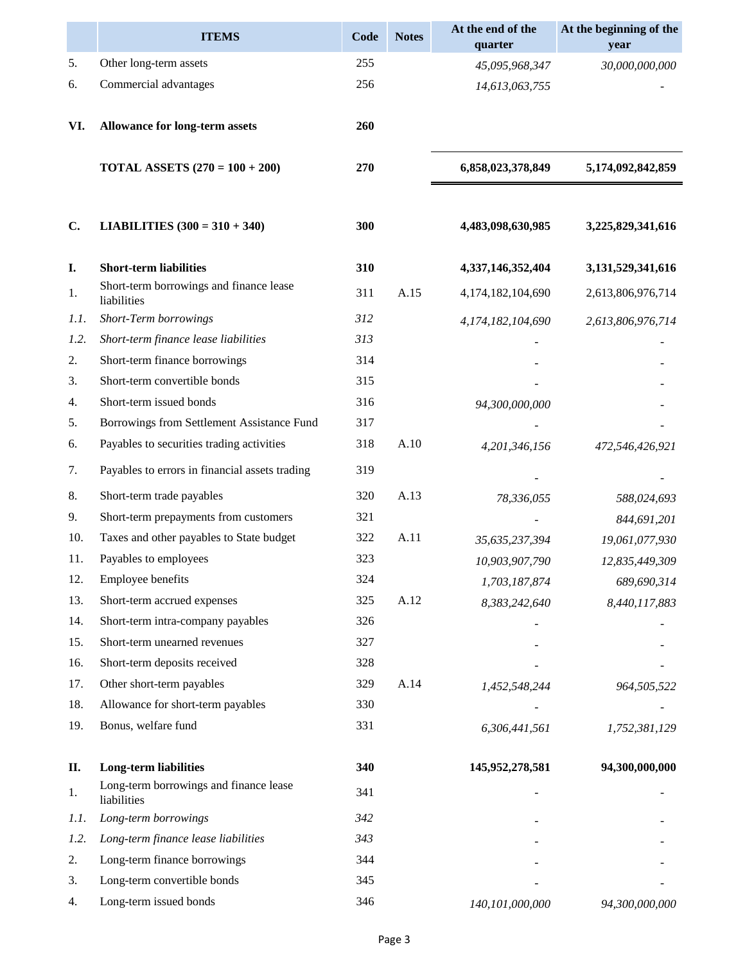|                | <b>ITEMS</b>                                           | Code | <b>Notes</b> | At the end of the<br>quarter | At the beginning of the<br>year |
|----------------|--------------------------------------------------------|------|--------------|------------------------------|---------------------------------|
| 5.             | Other long-term assets                                 | 255  |              | 45,095,968,347               | 30,000,000,000                  |
| 6.             | Commercial advantages                                  | 256  |              | 14,613,063,755               |                                 |
| VI.            | Allowance for long-term assets                         | 260  |              |                              |                                 |
|                | <b>TOTAL ASSETS</b> $(270 = 100 + 200)$                | 270  |              | 6,858,023,378,849            | 5,174,092,842,859               |
| $\mathbf{C}$ . | <b>LIABILITIES</b> $(300 = 310 + 340)$                 | 300  |              | 4,483,098,630,985            | 3,225,829,341,616               |
| I.             | <b>Short-term liabilities</b>                          | 310  |              | 4,337,146,352,404            | 3,131,529,341,616               |
| 1.             | Short-term borrowings and finance lease<br>liabilities | 311  | A.15         | 4,174,182,104,690            | 2,613,806,976,714               |
| 1.1.           | Short-Term borrowings                                  | 312  |              | 4,174,182,104,690            | 2,613,806,976,714               |
| 1.2.           | Short-term finance lease liabilities                   | 313  |              |                              |                                 |
| 2.             | Short-term finance borrowings                          | 314  |              |                              |                                 |
| 3.             | Short-term convertible bonds                           | 315  |              |                              |                                 |
| 4.             | Short-term issued bonds                                | 316  |              | 94,300,000,000               |                                 |
| 5.             | Borrowings from Settlement Assistance Fund             | 317  |              |                              |                                 |
| 6.             | Payables to securities trading activities              | 318  | A.10         | 4,201,346,156                | 472,546,426,921                 |
| 7.             | Payables to errors in financial assets trading         | 319  |              |                              |                                 |
| 8.             | Short-term trade payables                              | 320  | A.13         | 78,336,055                   | 588,024,693                     |
| 9.             | Short-term prepayments from customers                  | 321  |              |                              | 844,691,201                     |
| 10.            | Taxes and other payables to State budget               | 322  | A.11         | 35,635,237,394               | 19,061,077,930                  |
| 11.            | Payables to employees                                  | 323  |              | 10,903,907,790               | 12,835,449,309                  |
| 12.            | Employee benefits                                      | 324  |              | 1,703,187,874                | 689,690,314                     |
| 13.            | Short-term accrued expenses                            | 325  | A.12         | 8,383,242,640                | 8,440,117,883                   |
| 14.            | Short-term intra-company payables                      | 326  |              |                              |                                 |
| 15.            | Short-term unearned revenues                           | 327  |              |                              |                                 |
| 16.            | Short-term deposits received                           | 328  |              |                              |                                 |
| 17.            | Other short-term payables                              | 329  | A.14         | 1,452,548,244                | 964,505,522                     |
| 18.            | Allowance for short-term payables                      | 330  |              |                              |                                 |
| 19.            | Bonus, welfare fund                                    | 331  |              | 6,306,441,561                | 1,752,381,129                   |
| П.             | <b>Long-term liabilities</b>                           | 340  |              | 145,952,278,581              | 94,300,000,000                  |
| 1.             | Long-term borrowings and finance lease<br>liabilities  | 341  |              |                              |                                 |
| 1.1.           | Long-term borrowings                                   | 342  |              |                              |                                 |
| 1.2.           | Long-term finance lease liabilities                    | 343  |              |                              |                                 |
| 2.             | Long-term finance borrowings                           | 344  |              |                              |                                 |
| 3.             | Long-term convertible bonds                            | 345  |              |                              |                                 |
| 4.             | Long-term issued bonds                                 | 346  |              | 140,101,000,000              | 94,300,000,000                  |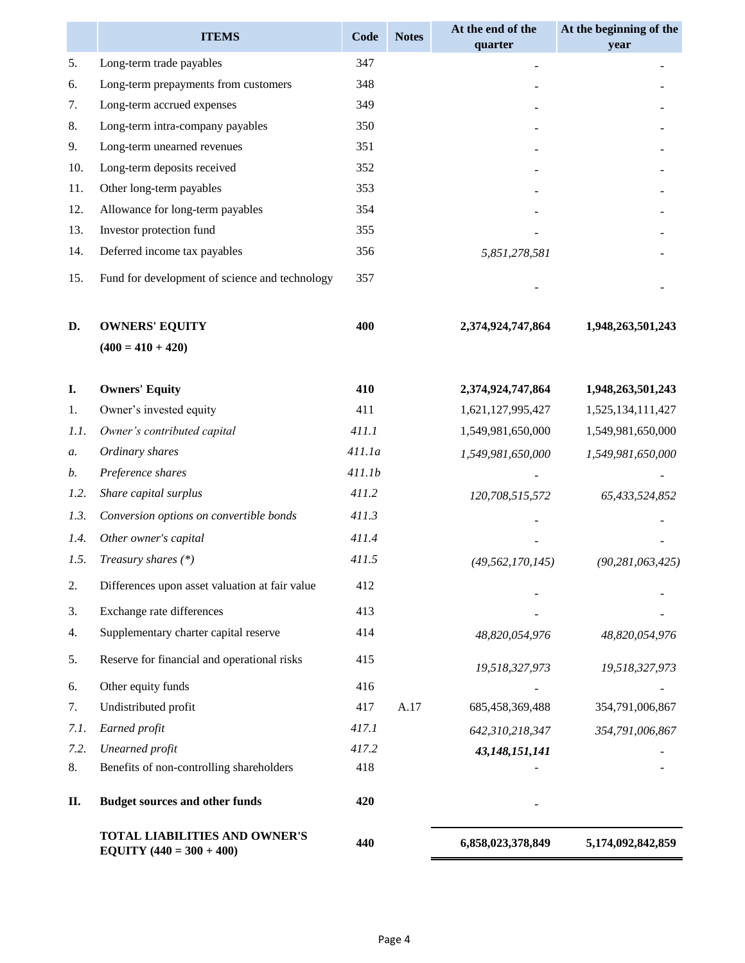|      | <b>ITEMS</b>                                                       | Code   | <b>Notes</b> | At the end of the<br>quarter | At the beginning of the<br>year |
|------|--------------------------------------------------------------------|--------|--------------|------------------------------|---------------------------------|
| 5.   | Long-term trade payables                                           | 347    |              |                              |                                 |
| 6.   | Long-term prepayments from customers                               | 348    |              |                              |                                 |
| 7.   | Long-term accrued expenses                                         | 349    |              |                              |                                 |
| 8.   | Long-term intra-company payables                                   | 350    |              |                              |                                 |
| 9.   | Long-term unearned revenues                                        | 351    |              |                              |                                 |
| 10.  | Long-term deposits received                                        | 352    |              |                              |                                 |
| 11.  | Other long-term payables                                           | 353    |              |                              |                                 |
| 12.  | Allowance for long-term payables                                   | 354    |              |                              |                                 |
| 13.  | Investor protection fund                                           | 355    |              |                              |                                 |
| 14.  | Deferred income tax payables                                       | 356    |              | 5,851,278,581                |                                 |
| 15.  | Fund for development of science and technology                     | 357    |              |                              |                                 |
| D.   | <b>OWNERS' EQUITY</b>                                              | 400    |              | 2,374,924,747,864            | 1,948,263,501,243               |
|      | $(400 = 410 + 420)$                                                |        |              |                              |                                 |
| I.   | <b>Owners' Equity</b>                                              | 410    |              | 2,374,924,747,864            | 1,948,263,501,243               |
| 1.   | Owner's invested equity                                            | 411    |              | 1,621,127,995,427            | 1,525,134,111,427               |
| 1.1. | Owner's contributed capital                                        | 411.1  |              | 1,549,981,650,000            | 1,549,981,650,000               |
| а.   | Ordinary shares                                                    | 411.1a |              | 1,549,981,650,000            | 1,549,981,650,000               |
| b.   | Preference shares                                                  | 411.1b |              |                              |                                 |
| 1.2. | Share capital surplus                                              | 411.2  |              | 120,708,515,572              | 65,433,524,852                  |
| 1.3. | Conversion options on convertible bonds                            | 411.3  |              |                              |                                 |
| 1.4. | Other owner's capital                                              | 411.4  |              |                              |                                 |
| 1.5. | Treasury shares $(*)$                                              | 411.5  |              | (49, 562, 170, 145)          | (90, 281, 063, 425)             |
| 2.   | Differences upon asset valuation at fair value                     | 412    |              |                              |                                 |
| 3.   | Exchange rate differences                                          | 413    |              |                              |                                 |
| 4.   | Supplementary charter capital reserve                              | 414    |              | 48,820,054,976               | 48,820,054,976                  |
| 5.   | Reserve for financial and operational risks                        | 415    |              | 19,518,327,973               | 19,518,327,973                  |
| 6.   | Other equity funds                                                 | 416    |              |                              |                                 |
| 7.   | Undistributed profit                                               | 417    | A.17         | 685,458,369,488              | 354,791,006,867                 |
| 7.1. | Earned profit                                                      | 417.1  |              | 642,310,218,347              | 354,791,006,867                 |
| 7.2. | Unearned profit                                                    | 417.2  |              | 43,148,151,141               |                                 |
| 8.   | Benefits of non-controlling shareholders                           | 418    |              |                              |                                 |
| П.   | <b>Budget sources and other funds</b>                              | 420    |              |                              |                                 |
|      | <b>TOTAL LIABILITIES AND OWNER'S</b><br>EQUITY $(440 = 300 + 400)$ | 440    |              | 6,858,023,378,849            | 5,174,092,842,859               |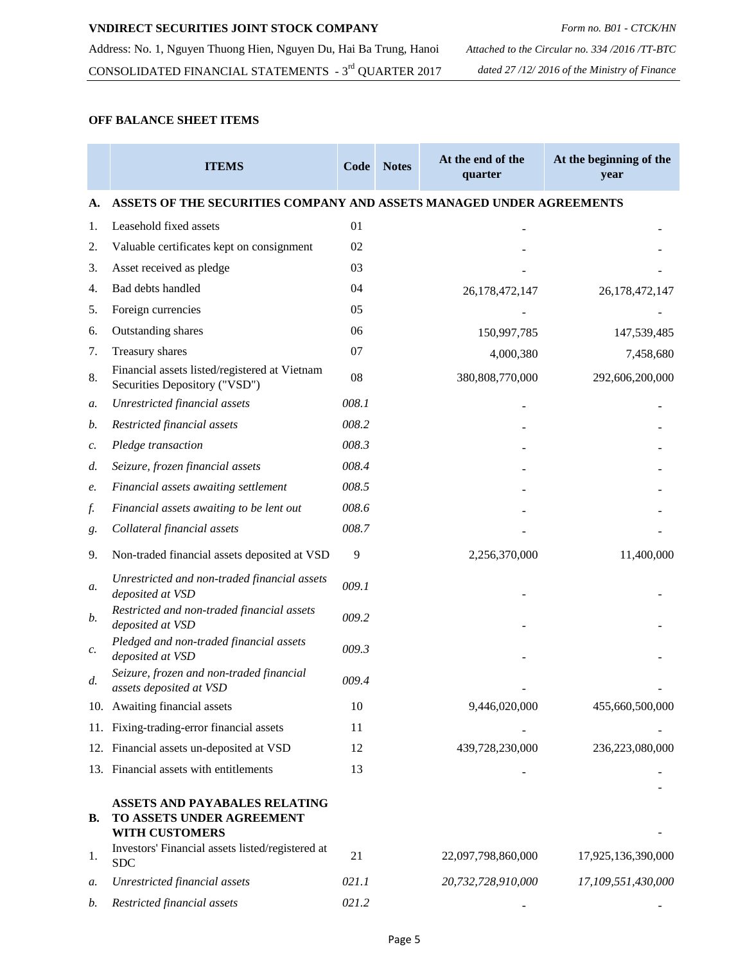CONSOLIDATED FINANCIAL STATEMENTS - 3rd QUARTER 2017 *dated 27 /12/ 2016 of the Ministry of Finance*

### **OFF BALANCE SHEET ITEMS**

|    | <b>ITEMS</b>                                                                        | Code  | <b>Notes</b> | At the end of the<br>quarter | At the beginning of the<br>year |
|----|-------------------------------------------------------------------------------------|-------|--------------|------------------------------|---------------------------------|
| А. | ASSETS OF THE SECURITIES COMPANY AND ASSETS MANAGED UNDER AGREEMENTS                |       |              |                              |                                 |
| 1. | Leasehold fixed assets                                                              | 01    |              |                              |                                 |
| 2. | Valuable certificates kept on consignment                                           | 02    |              |                              |                                 |
| 3. | Asset received as pledge                                                            | 03    |              |                              |                                 |
| 4. | Bad debts handled                                                                   | 04    |              | 26,178,472,147               | 26,178,472,147                  |
| 5. | Foreign currencies                                                                  | 05    |              |                              |                                 |
| 6. | Outstanding shares                                                                  | 06    |              | 150,997,785                  | 147,539,485                     |
| 7. | Treasury shares                                                                     | 07    |              | 4,000,380                    | 7,458,680                       |
| 8. | Financial assets listed/registered at Vietnam<br>Securities Depository ("VSD")      | 08    |              | 380,808,770,000              | 292,606,200,000                 |
| а. | Unrestricted financial assets                                                       | 008.1 |              |                              |                                 |
| b. | Restricted financial assets                                                         | 008.2 |              |                              |                                 |
| c. | Pledge transaction                                                                  | 008.3 |              |                              |                                 |
| d. | Seizure, frozen financial assets                                                    | 008.4 |              |                              |                                 |
| e. | Financial assets awaiting settlement                                                | 008.5 |              |                              |                                 |
| f. | Financial assets awaiting to be lent out                                            | 008.6 |              |                              |                                 |
| g. | Collateral financial assets                                                         | 008.7 |              |                              |                                 |
| 9. | Non-traded financial assets deposited at VSD                                        | 9     |              | 2,256,370,000                | 11,400,000                      |
| а. | Unrestricted and non-traded financial assets<br>deposited at VSD                    | 009.1 |              |                              |                                 |
| b. | Restricted and non-traded financial assets<br>deposited at VSD                      | 009.2 |              |                              |                                 |
| c. | Pledged and non-traded financial assets<br>deposited at VSD                         | 009.3 |              |                              |                                 |
| d. | Seizure, frozen and non-traded financial<br>assets deposited at VSD                 | 009.4 |              |                              |                                 |
|    | 10. Awaiting financial assets                                                       | 10    |              | 9,446,020,000                | 455,660,500,000                 |
|    | 11. Fixing-trading-error financial assets                                           | 11    |              |                              |                                 |
|    | 12. Financial assets un-deposited at VSD                                            | 12    |              | 439,728,230,000              | 236,223,080,000                 |
|    | 13. Financial assets with entitlements                                              | 13    |              |                              |                                 |
| В. | ASSETS AND PAYABALES RELATING<br>TO ASSETS UNDER AGREEMENT<br><b>WITH CUSTOMERS</b> |       |              |                              |                                 |
| 1. | Investors' Financial assets listed/registered at<br><b>SDC</b>                      | 21    |              | 22,097,798,860,000           | 17,925,136,390,000              |
| а. | Unrestricted financial assets                                                       | 021.1 |              | 20,732,728,910,000           | 17,109,551,430,000              |
| b. | Restricted financial assets                                                         | 021.2 |              |                              |                                 |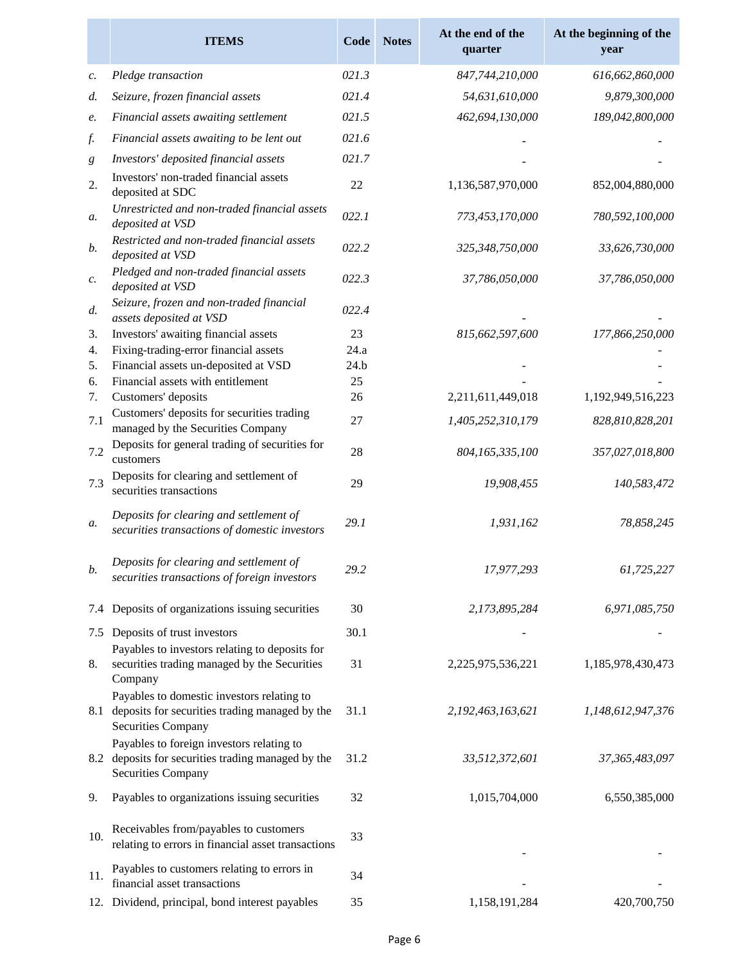|                  | <b>ITEMS</b>                                                                                                                  | Code         | <b>Notes</b> | At the end of the<br>quarter | At the beginning of the<br>year |
|------------------|-------------------------------------------------------------------------------------------------------------------------------|--------------|--------------|------------------------------|---------------------------------|
| c.               | Pledge transaction                                                                                                            | 021.3        |              | 847,744,210,000              | 616,662,860,000                 |
| d.               | Seizure, frozen financial assets                                                                                              | 021.4        |              | 54,631,610,000               | 9,879,300,000                   |
| e.               | Financial assets awaiting settlement                                                                                          | 021.5        |              | 462,694,130,000              | 189,042,800,000                 |
| f.               | Financial assets awaiting to be lent out                                                                                      | 021.6        |              |                              |                                 |
| $\boldsymbol{g}$ | Investors' deposited financial assets                                                                                         | 021.7        |              |                              |                                 |
| 2.               | Investors' non-traded financial assets<br>deposited at SDC                                                                    | 22           |              | 1,136,587,970,000            | 852,004,880,000                 |
| a.               | Unrestricted and non-traded financial assets<br>deposited at VSD                                                              | 022.1        |              | 773,453,170,000              | 780,592,100,000                 |
| $\mathfrak{b}$ . | Restricted and non-traded financial assets<br>deposited at VSD                                                                | 022.2        |              | 325,348,750,000              | 33,626,730,000                  |
| c.               | Pledged and non-traded financial assets<br>deposited at VSD                                                                   | 022.3        |              | 37,786,050,000               | 37,786,050,000                  |
| d.               | Seizure, frozen and non-traded financial<br>assets deposited at VSD                                                           | 022.4        |              |                              |                                 |
| 3.               | Investors' awaiting financial assets                                                                                          | 23           |              | 815,662,597,600              | 177,866,250,000                 |
| 4.<br>5.         | Fixing-trading-error financial assets<br>Financial assets un-deposited at VSD                                                 | 24.a<br>24.b |              |                              |                                 |
| 6.               | Financial assets with entitlement                                                                                             | 25           |              |                              |                                 |
| 7.               | Customers' deposits                                                                                                           | 26           |              | 2,211,611,449,018            | 1,192,949,516,223               |
| 7.1              | Customers' deposits for securities trading<br>managed by the Securities Company                                               | 27           |              | 1,405,252,310,179            | 828,810,828,201                 |
| 7.2              | Deposits for general trading of securities for<br>customers                                                                   | 28           |              | 804,165,335,100              | 357,027,018,800                 |
| 7.3              | Deposits for clearing and settlement of<br>securities transactions                                                            | 29           |              | 19,908,455                   | 140,583,472                     |
| a.               | Deposits for clearing and settlement of<br>securities transactions of domestic investors                                      | 29.1         |              | 1,931,162                    | 78,858,245                      |
|                  | Deposits for clearing and settlement of<br>securities transactions of foreign investors                                       | 29.2         |              | 17,977,293                   | 61,725,227                      |
|                  | 7.4 Deposits of organizations issuing securities                                                                              | 30           |              | 2,173,895,284                | 6,971,085,750                   |
| 7.5              | Deposits of trust investors                                                                                                   | 30.1         |              |                              |                                 |
| 8.               | Payables to investors relating to deposits for<br>securities trading managed by the Securities<br>Company                     | 31           |              | 2,225,975,536,221            | 1,185,978,430,473               |
|                  | Payables to domestic investors relating to<br>8.1 deposits for securities trading managed by the<br><b>Securities Company</b> | 31.1         |              | 2,192,463,163,621            | 1,148,612,947,376               |
|                  | Payables to foreign investors relating to<br>8.2 deposits for securities trading managed by the<br><b>Securities Company</b>  | 31.2         |              | 33,512,372,601               | 37,365,483,097                  |
| 9.               | Payables to organizations issuing securities                                                                                  | 32           |              | 1,015,704,000                | 6,550,385,000                   |
| 10.              | Receivables from/payables to customers<br>relating to errors in financial asset transactions                                  | 33           |              |                              |                                 |
| 11.              | Payables to customers relating to errors in<br>financial asset transactions                                                   | 34           |              |                              |                                 |
|                  | 12. Dividend, principal, bond interest payables                                                                               | 35           |              | 1,158,191,284                | 420,700,750                     |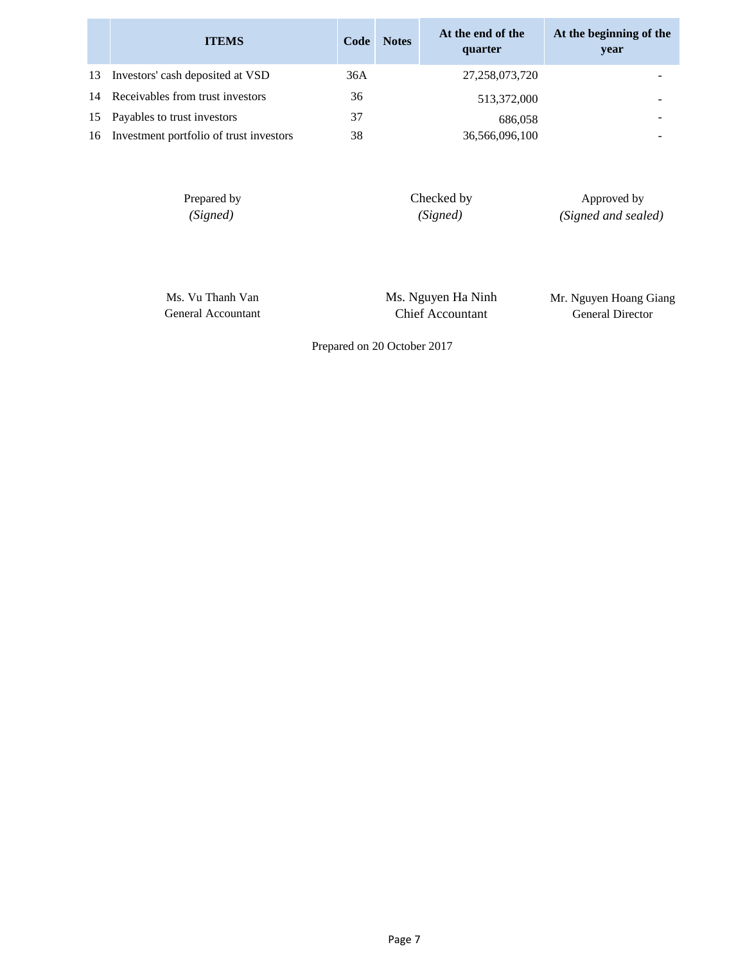|    | <b>ITEMS</b>                            | <b>Code</b> | <b>Notes</b> | At the end of the<br>quarter | At the beginning of the<br>year |
|----|-----------------------------------------|-------------|--------------|------------------------------|---------------------------------|
| 13 | Investors' cash deposited at VSD        | 36A         |              | 27, 258, 073, 720            |                                 |
| 14 | Receivables from trust investors        | 36          |              | 513,372,000                  |                                 |
|    | 15 Payables to trust investors          | 37          |              | 686,058                      |                                 |
| 16 | Investment portfolio of trust investors | 38          |              | 36,566,096,100               |                                 |

Prepared by *(Signed)*

*(Signed)* Checked by

Approved by *(Signed and sealed)*

Ms. Vu Thanh Van General Accountant Ms. Nguyen Ha Ninh Chief Accountant

Mr. Nguyen Hoang Giang General Director

Prepared on 20 October 2017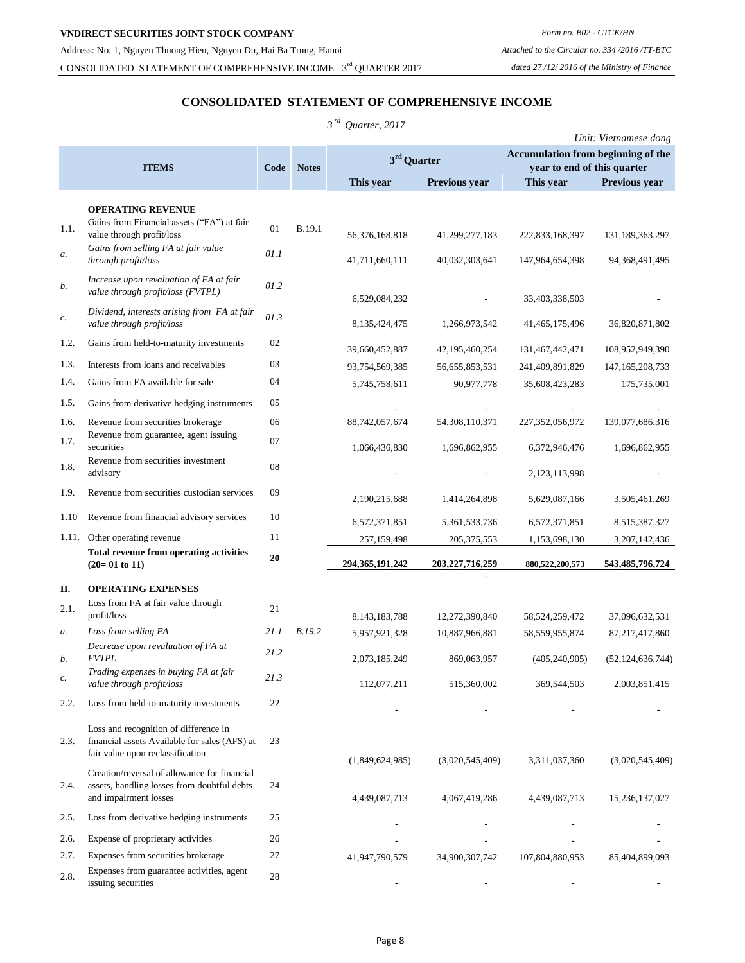### **CONSOLIDATED STATEMENT OF COMPREHENSIVE INCOME**

|                   |                                                                                                                            |      |              | $3^{rd}$ Quarter, 2017           |                                  |                                    | Unit: Vietnamese dong                |
|-------------------|----------------------------------------------------------------------------------------------------------------------------|------|--------------|----------------------------------|----------------------------------|------------------------------------|--------------------------------------|
|                   |                                                                                                                            |      |              |                                  |                                  | Accumulation from beginning of the |                                      |
|                   | <b>ITEMS</b>                                                                                                               | Code | <b>Notes</b> | $3rd$ Quarter                    |                                  | year to end of this quarter        |                                      |
|                   |                                                                                                                            |      |              | This year                        | Previous year                    | This year                          | <b>Previous year</b>                 |
| 1.1.              | <b>OPERATING REVENUE</b><br>Gains from Financial assets ("FA") at fair                                                     | 01   | B.19.1       |                                  |                                  |                                    |                                      |
| a.                | value through profit/loss<br>Gains from selling FA at fair value<br>through profit/loss                                    | 01.1 |              | 56,376,168,818<br>41,711,660,111 | 41,299,277,183<br>40,032,303,641 | 222,833,168,397<br>147,964,654,398 | 131,189,363,297<br>94, 368, 491, 495 |
| b.                | Increase upon revaluation of FA at fair<br>value through profit/loss (FVTPL)                                               | 01.2 |              |                                  |                                  |                                    |                                      |
| $\mathcal{C}.$    | Dividend, interests arising from FA at fair<br>value through profit/loss                                                   | 01.3 |              | 6,529,084,232<br>8,135,424,475   | 1,266,973,542                    | 33,403,338,503<br>41,465,175,496   | 36,820,871,802                       |
| 1.2.              | Gains from held-to-maturity investments                                                                                    | 02   |              | 39,660,452,887                   | 42,195,460,254                   | 131,467,442,471                    | 108,952,949,390                      |
| 1.3.              | Interests from loans and receivables                                                                                       | 03   |              | 93,754,569,385                   | 56,655,853,531                   | 241,409,891,829                    | 147, 165, 208, 733                   |
| 1.4.              | Gains from FA available for sale                                                                                           | 04   |              | 5,745,758,611                    | 90,977,778                       | 35,608,423,283                     | 175,735,001                          |
| 1.5.              | Gains from derivative hedging instruments                                                                                  | 05   |              |                                  |                                  |                                    |                                      |
| 1.6.              | Revenue from securities brokerage                                                                                          | 06   |              | 88,742,057,674                   | 54,308,110,371                   | 227,352,056,972                    | 139,077,686,316                      |
| 1.7.              | Revenue from guarantee, agent issuing<br>securities                                                                        | 07   |              | 1,066,436,830                    | 1,696,862,955                    | 6,372,946,476                      | 1,696,862,955                        |
| 1.8.              | Revenue from securities investment<br>advisory                                                                             | 08   |              |                                  |                                  | 2, 123, 113, 998                   |                                      |
| 1.9.              | Revenue from securities custodian services                                                                                 | 09   |              | 2,190,215,688                    | 1,414,264,898                    | 5,629,087,166                      | 3,505,461,269                        |
| 1.10              | Revenue from financial advisory services                                                                                   | 10   |              | 6,572,371,851                    | 5,361,533,736                    | 6,572,371,851                      | 8,515,387,327                        |
| 1.11.             | Other operating revenue                                                                                                    | 11   |              | 257,159,498                      | 205, 375, 553                    | 1,153,698,130                      | 3, 207, 142, 436                     |
|                   | Total revenue from operating activities<br>$(20=01$ to 11)                                                                 | 20   |              | 294, 365, 191, 242               | 203, 227, 716, 259               | 880,522,200,573                    | 543,485,796,724                      |
| П.                | <b>OPERATING EXPENSES</b>                                                                                                  |      |              |                                  |                                  |                                    |                                      |
| 2.1.              | Loss from FA at fair value through<br>profit/loss                                                                          | 21   |              | 8, 143, 183, 788                 | 12,272,390,840                   | 58, 524, 259, 472                  | 37,096,632,531                       |
| a.                | Loss from selling FA                                                                                                       | 21.1 | B.19.2       | 5,957,921,328                    | 10,887,966,881                   | 58, 559, 955, 874                  | 87, 217, 417, 860                    |
| b.                | Decrease upon revaluation of FA at<br><b>FVTPL</b>                                                                         | 21.2 |              | 2.073.185.249                    | 869,063,957                      | (405, 240, 905)                    | (52, 124, 636, 744)                  |
| $\boldsymbol{c}.$ | Trading expenses in buying FA at fair<br>value through profit/loss                                                         | 21.3 |              | 112,077,211                      | 515,360,002                      | 369,544,503                        | 2,003,851,415                        |
| 2.2.              | Loss from held-to-maturity investments                                                                                     | 22   |              |                                  |                                  |                                    |                                      |
| 2.3.              | Loss and recognition of difference in<br>financial assets Available for sales (AFS) at<br>fair value upon reclassification | 23   |              | (1,849,624,985)                  | (3,020,545,409)                  | 3,311,037,360                      | (3,020,545,409)                      |
| 2.4.              | Creation/reversal of allowance for financial<br>assets, handling losses from doubtful debts<br>and impairment losses       | 24   |              | 4,439,087,713                    | 4,067,419,286                    | 4,439,087,713                      | 15,236,137,027                       |
| 2.5.              | Loss from derivative hedging instruments                                                                                   | 25   |              |                                  |                                  |                                    |                                      |
| 2.6.              | Expense of proprietary activities                                                                                          | 26   |              |                                  |                                  |                                    |                                      |
| 2.7.              | Expenses from securities brokerage                                                                                         | 27   |              | 41,947,790,579                   | 34,900,307,742                   | 107,804,880,953                    | 85,404,899,093                       |
| 2.8.              | Expenses from guarantee activities, agent<br>issuing securities                                                            | 28   |              |                                  |                                  |                                    |                                      |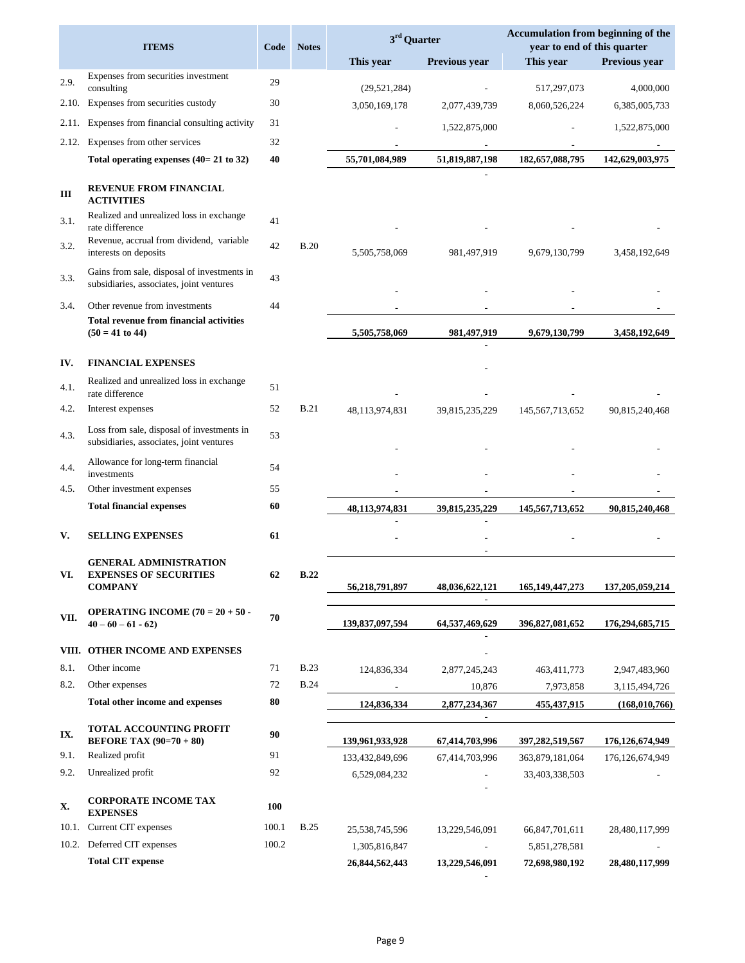|       | <b>ITEMS</b>                                                                            | Code  | <b>Notes</b> |                 | 3 <sup>rd</sup> Quarter |                    | Accumulation from beginning of the<br>year to end of this quarter |
|-------|-----------------------------------------------------------------------------------------|-------|--------------|-----------------|-------------------------|--------------------|-------------------------------------------------------------------|
|       |                                                                                         |       |              | This year       | Previous year           | This year          | <b>Previous year</b>                                              |
| 2.9.  | Expenses from securities investment<br>consulting                                       | 29    |              | (29, 521, 284)  |                         | 517,297,073        | 4,000,000                                                         |
| 2.10. | Expenses from securities custody                                                        | 30    |              | 3,050,169,178   | 2,077,439,739           | 8,060,526,224      | 6,385,005,733                                                     |
| 2.11. | Expenses from financial consulting activity                                             | 31    |              |                 | 1,522,875,000           |                    | 1,522,875,000                                                     |
|       | 2.12. Expenses from other services                                                      | 32    |              |                 |                         |                    |                                                                   |
|       | Total operating expenses $(40=21 \text{ to } 32)$                                       | 40    |              | 55,701,084,989  | 51,819,887,198          | 182,657,088,795    | 142,629,003,975                                                   |
|       | <b>REVENUE FROM FINANCIAL</b>                                                           |       |              |                 |                         |                    |                                                                   |
| Ш     | <b>ACTIVITIES</b>                                                                       |       |              |                 |                         |                    |                                                                   |
| 3.1.  | Realized and unrealized loss in exchange<br>rate difference                             | 41    |              |                 |                         |                    |                                                                   |
| 3.2.  | Revenue, accrual from dividend, variable<br>interests on deposits                       | 42    | <b>B.20</b>  | 5,505,758,069   | 981,497,919             | 9,679,130,799      | 3,458,192,649                                                     |
| 3.3.  | Gains from sale, disposal of investments in<br>subsidiaries, associates, joint ventures | 43    |              |                 |                         |                    |                                                                   |
| 3.4.  | Other revenue from investments                                                          | 44    |              |                 |                         |                    |                                                                   |
|       | <b>Total revenue from financial activities</b>                                          |       |              |                 |                         | 9,679,130,799      |                                                                   |
|       | $(50 = 41$ to 44)                                                                       |       |              | 5,505,758,069   | 981,497,919             |                    | 3,458,192,649                                                     |
| IV.   | <b>FINANCIAL EXPENSES</b>                                                               |       |              |                 |                         |                    |                                                                   |
| 4.1.  | Realized and unrealized loss in exchange<br>rate difference                             | 51    |              |                 |                         |                    |                                                                   |
| 4.2.  | Interest expenses                                                                       | 52    | <b>B.21</b>  | 48,113,974,831  | 39,815,235,229          | 145,567,713,652    | 90,815,240,468                                                    |
| 4.3.  | Loss from sale, disposal of investments in<br>subsidiaries, associates, joint ventures  | 53    |              |                 |                         |                    |                                                                   |
|       | Allowance for long-term financial                                                       |       |              |                 |                         |                    |                                                                   |
| 4.4.  | investments                                                                             | 54    |              |                 |                         |                    |                                                                   |
| 4.5.  | Other investment expenses                                                               | 55    |              |                 |                         |                    |                                                                   |
|       | <b>Total financial expenses</b>                                                         | 60    |              | 48,113,974,831  | 39,815,235,229          | 145,567,713,652    | 90,815,240,468                                                    |
| V.    | <b>SELLING EXPENSES</b>                                                                 | 61    |              |                 |                         |                    |                                                                   |
|       | <b>GENERAL ADMINISTRATION</b>                                                           |       |              |                 |                         |                    |                                                                   |
| VI.   | <b>EXPENSES OF SECURITIES</b><br><b>COMPANY</b>                                         | 62    | <b>B.22</b>  | 56,218,791,897  | 48,036,622,121          | 165, 149, 447, 273 | 137, 205, 059, 214                                                |
|       |                                                                                         |       |              |                 |                         |                    |                                                                   |
| VII.  | <b>OPERATING INCOME (70 = 20 + 50 -</b><br>$40 - 60 - 61 - 62$                          | 70    |              | 139,837,097,594 | 64,537,469,629          | 396,827,081,652    | 176,294,685,715                                                   |
|       | VIII. OTHER INCOME AND EXPENSES                                                         |       |              |                 |                         |                    |                                                                   |
| 8.1.  | Other income                                                                            | 71    | <b>B.23</b>  | 124,836,334     | 2,877,245,243           | 463, 411, 773      | 2,947,483,960                                                     |
| 8.2.  | Other expenses                                                                          | 72    | <b>B.24</b>  |                 | 10,876                  | 7,973,858          | 3,115,494,726                                                     |
|       | Total other income and expenses                                                         | 80    |              | 124,836,334     | 2,877,234,367           | 455, 437, 915      | (168, 010, 766)                                                   |
|       |                                                                                         |       |              |                 |                         |                    |                                                                   |
| IX.   | <b>TOTAL ACCOUNTING PROFIT</b><br><b>BEFORE TAX (90=70 + 80)</b>                        | 90    |              | 139,961,933,928 | 67,414,703,996          | 397,282,519,567    | 176, 126, 674, 949                                                |
| 9.1.  | Realized profit                                                                         | 91    |              | 133,432,849,696 | 67,414,703,996          | 363,879,181,064    | 176, 126, 674, 949                                                |
| 9.2.  | Unrealized profit                                                                       | 92    |              | 6,529,084,232   |                         | 33,403,338,503     |                                                                   |
| X.    | <b>CORPORATE INCOME TAX</b><br><b>EXPENSES</b>                                          | 100   |              |                 |                         |                    |                                                                   |
| 10.1. | Current CIT expenses                                                                    | 100.1 | <b>B.25</b>  | 25,538,745,596  | 13,229,546,091          | 66, 847, 701, 611  | 28,480,117,999                                                    |
|       | 10.2. Deferred CIT expenses                                                             | 100.2 |              | 1,305,816,847   |                         | 5,851,278,581      |                                                                   |
|       | <b>Total CIT expense</b>                                                                |       |              | 26,844,562,443  | 13,229,546,091          | 72,698,980,192     | 28,480,117,999                                                    |
|       |                                                                                         |       |              |                 |                         |                    |                                                                   |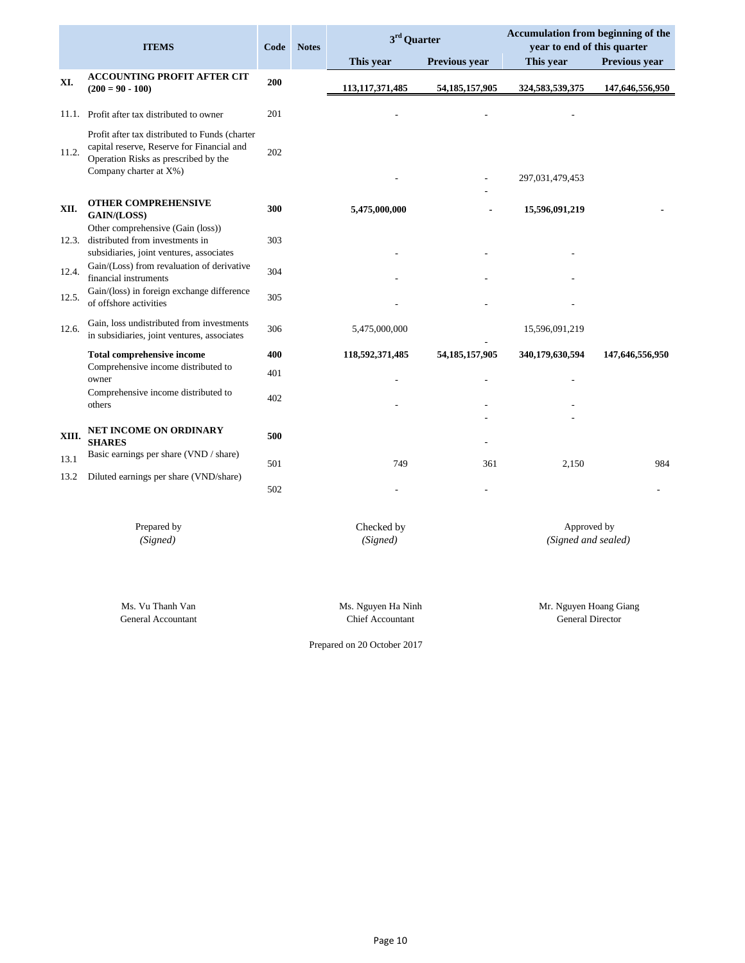|       | <b>ITEMS</b>                                                                                                                                                   | Code | <b>Notes</b> | 3 <sup>rd</sup> Quarter |                   | Accumulation from beginning of the<br>year to end of this quarter |                 |
|-------|----------------------------------------------------------------------------------------------------------------------------------------------------------------|------|--------------|-------------------------|-------------------|-------------------------------------------------------------------|-----------------|
|       |                                                                                                                                                                |      |              | This year               | Previous year     | This year                                                         | Previous year   |
| XI.   | <b>ACCOUNTING PROFIT AFTER CIT</b><br>$(200 = 90 - 100)$                                                                                                       | 200  |              | 113, 117, 371, 485      | 54, 185, 157, 905 | 324,583,539,375                                                   | 147,646,556,950 |
|       | 11.1. Profit after tax distributed to owner                                                                                                                    | 201  |              |                         |                   |                                                                   |                 |
| 11.2. | Profit after tax distributed to Funds (charter<br>capital reserve, Reserve for Financial and<br>Operation Risks as prescribed by the<br>Company charter at X%) | 202  |              |                         |                   |                                                                   |                 |
|       |                                                                                                                                                                |      |              |                         |                   | 297,031,479,453                                                   |                 |
| XII.  | <b>OTHER COMPREHENSIVE</b><br>GAIN/(LOSS)                                                                                                                      | 300  |              | 5,475,000,000           |                   | 15,596,091,219                                                    |                 |
| 12.3. | Other comprehensive (Gain (loss))<br>distributed from investments in<br>subsidiaries, joint ventures, associates                                               | 303  |              |                         |                   |                                                                   |                 |
| 12.4. | Gain/(Loss) from revaluation of derivative<br>financial instruments                                                                                            | 304  |              |                         |                   |                                                                   |                 |
| 12.5. | Gain/(loss) in foreign exchange difference<br>of offshore activities                                                                                           | 305  |              |                         |                   |                                                                   |                 |
| 12.6. | Gain, loss undistributed from investments<br>in subsidiaries, joint ventures, associates                                                                       | 306  |              | 5,475,000,000           |                   | 15,596,091,219                                                    |                 |
|       | <b>Total comprehensive income</b>                                                                                                                              | 400  |              | 118,592,371,485         | 54, 185, 157, 905 | 340,179,630,594                                                   | 147,646,556,950 |
|       | Comprehensive income distributed to<br>owner                                                                                                                   | 401  |              |                         |                   |                                                                   |                 |
|       | Comprehensive income distributed to<br>others                                                                                                                  | 402  |              |                         |                   |                                                                   |                 |
| XIII. | NET INCOME ON ORDINARY<br><b>SHARES</b>                                                                                                                        | 500  |              |                         |                   |                                                                   |                 |
| 13.1  | Basic earnings per share (VND / share)                                                                                                                         | 501  |              | 749                     | 361               | 2,150                                                             | 984             |
| 13.2  | Diluted earnings per share (VND/share)                                                                                                                         | 502  |              |                         |                   |                                                                   |                 |

Prepared by **Checked by Checked by Checked by Approved by Approved by** *(Signed) (Signed) (Signed and sealed)*

Ms. Vu Thanh Van

General Accountant Chief Accountant Ms. Nguyen Ha Ninh Mr. Nguyen Hoang Giang General Director

Prepared on 20 October 2017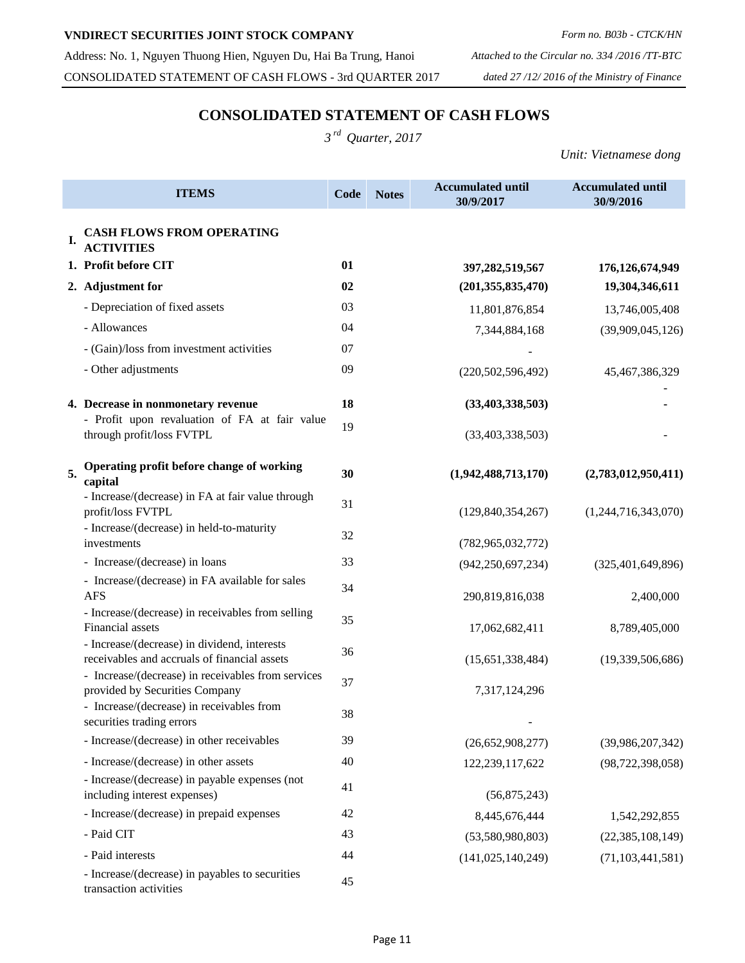Address: No. 1, Nguyen Thuong Hien, Nguyen Du, Hai Ba Trung, Hanoi *Attached to the Circular no. 334 /2016 /TT-BTC* CONSOLIDATED STATEMENT OF CASH FLOWS - 3rd QUARTER 2017 *dated 27 /12/ 2016 of the Ministry of Finance*

## **CONSOLIDATED STATEMENT OF CASH FLOWS**

*3 rd Quarter, 2017*

*Unit: Vietnamese dong*

|    | <b>ITEMS</b>                                                                                 | Code | <b>Notes</b> | <b>Accumulated until</b><br>30/9/2017 | <b>Accumulated until</b><br>30/9/2016 |
|----|----------------------------------------------------------------------------------------------|------|--------------|---------------------------------------|---------------------------------------|
| I. | <b>CASH FLOWS FROM OPERATING</b><br><b>ACTIVITIES</b>                                        |      |              |                                       |                                       |
|    | 1. Profit before CIT                                                                         | 01   |              | 397,282,519,567                       | 176, 126, 674, 949                    |
|    | 2. Adjustment for                                                                            | 02   |              | (201, 355, 835, 470)                  | 19,304,346,611                        |
|    | - Depreciation of fixed assets                                                               | 03   |              | 11,801,876,854                        | 13,746,005,408                        |
|    | - Allowances                                                                                 | 04   |              | 7,344,884,168                         | (39,909,045,126)                      |
|    | - (Gain)/loss from investment activities                                                     | 07   |              |                                       |                                       |
|    | - Other adjustments                                                                          | 09   |              | (220, 502, 596, 492)                  | 45,467,386,329                        |
|    | 4. Decrease in nonmonetary revenue                                                           | 18   |              | (33, 403, 338, 503)                   |                                       |
|    | - Profit upon revaluation of FA at fair value<br>through profit/loss FVTPL                   | 19   |              | (33, 403, 338, 503)                   |                                       |
| 5. | Operating profit before change of working<br>capital                                         | 30   |              | (1,942,488,713,170)                   | (2,783,012,950,411)                   |
|    | - Increase/(decrease) in FA at fair value through<br>profit/loss FVTPL                       | 31   |              | (129, 840, 354, 267)                  | (1,244,716,343,070)                   |
|    | - Increase/(decrease) in held-to-maturity<br>investments                                     | 32   |              | (782, 965, 032, 772)                  |                                       |
|    | - Increase/(decrease) in loans                                                               | 33   |              | (942, 250, 697, 234)                  | (325, 401, 649, 896)                  |
|    | - Increase/(decrease) in FA available for sales<br><b>AFS</b>                                | 34   |              | 290,819,816,038                       | 2,400,000                             |
|    | - Increase/(decrease) in receivables from selling<br>Financial assets                        | 35   |              | 17,062,682,411                        | 8,789,405,000                         |
|    | - Increase/(decrease) in dividend, interests<br>receivables and accruals of financial assets | 36   |              | (15,651,338,484)                      | (19,339,506,686)                      |
|    | - Increase/(decrease) in receivables from services<br>provided by Securities Company         | 37   |              | 7,317,124,296                         |                                       |
|    | - Increase/(decrease) in receivables from<br>securities trading errors                       | 38   |              |                                       |                                       |
|    | - Increase/(decrease) in other receivables                                                   | 39   |              | (26, 652, 908, 277)                   | (39,986,207,342)                      |
|    | - Increase/(decrease) in other assets                                                        | 40   |              | 122,239,117,622                       | (98, 722, 398, 058)                   |
|    | - Increase/(decrease) in payable expenses (not<br>including interest expenses)               | 41   |              | (56,875,243)                          |                                       |
|    | - Increase/(decrease) in prepaid expenses                                                    | 42   |              | 8,445,676,444                         | 1,542,292,855                         |
|    | - Paid CIT                                                                                   | 43   |              | (53,580,980,803)                      | (22, 385, 108, 149)                   |
|    | - Paid interests                                                                             | 44   |              | (141, 025, 140, 249)                  | (71, 103, 441, 581)                   |
|    | - Increase/(decrease) in payables to securities<br>transaction activities                    | 45   |              |                                       |                                       |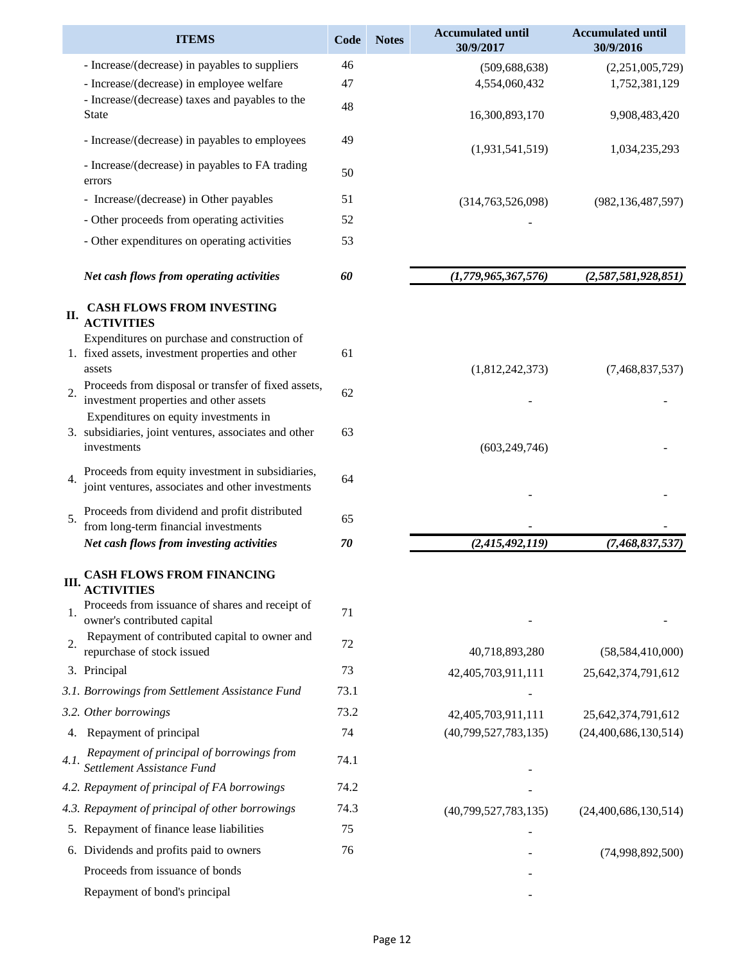|      | <b>ITEMS</b>                                                                                                  | Code     | <b>Notes</b> | <b>Accumulated until</b><br>30/9/2017 | <b>Accumulated until</b><br>30/9/2016 |
|------|---------------------------------------------------------------------------------------------------------------|----------|--------------|---------------------------------------|---------------------------------------|
|      | - Increase/(decrease) in payables to suppliers<br>- Increase/(decrease) in employee welfare                   | 46<br>47 |              | (509, 688, 638)<br>4,554,060,432      | (2,251,005,729)<br>1,752,381,129      |
|      | - Increase/(decrease) taxes and payables to the<br><b>State</b>                                               | 48       |              | 16,300,893,170                        | 9,908,483,420                         |
|      | - Increase/(decrease) in payables to employees                                                                | 49       |              | (1,931,541,519)                       | 1,034,235,293                         |
|      | - Increase/(decrease) in payables to FA trading<br>errors                                                     | 50       |              |                                       |                                       |
|      | - Increase/(decrease) in Other payables                                                                       | 51       |              | (314, 763, 526, 098)                  | (982, 136, 487, 597)                  |
|      | - Other proceeds from operating activities                                                                    | 52       |              |                                       |                                       |
|      | - Other expenditures on operating activities                                                                  | 53       |              |                                       |                                       |
|      | Net cash flows from operating activities                                                                      | 60       |              | (1,779,965,367,576)                   | (2,587,581,928,851)                   |
| П.   | <b>CASH FLOWS FROM INVESTING</b><br><b>ACTIVITIES</b>                                                         |          |              |                                       |                                       |
|      | Expenditures on purchase and construction of<br>1. fixed assets, investment properties and other<br>assets    | 61       |              | (1,812,242,373)                       | (7,468,837,537)                       |
| 2.   | Proceeds from disposal or transfer of fixed assets,<br>investment properties and other assets                 | 62       |              |                                       |                                       |
|      | Expenditures on equity investments in<br>3. subsidiaries, joint ventures, associates and other<br>investments | 63       |              | (603, 249, 746)                       |                                       |
| 4.   | Proceeds from equity investment in subsidiaries,<br>joint ventures, associates and other investments          | 64       |              |                                       |                                       |
| 5.   | Proceeds from dividend and profit distributed<br>from long-term financial investments                         | 65       |              |                                       |                                       |
|      | Net cash flows from investing activities                                                                      | 70       |              | (2,415,492,119)                       | (7, 468, 837, 537)                    |
| III. | <b>CASH FLOWS FROM FINANCING</b><br><b>ACTIVITIES</b>                                                         |          |              |                                       |                                       |
| 1.   | Proceeds from issuance of shares and receipt of<br>owner's contributed capital                                | 71       |              |                                       |                                       |
| 2.   | Repayment of contributed capital to owner and<br>repurchase of stock issued                                   | 72       |              | 40,718,893,280                        | (58, 584, 410, 000)                   |
|      | 3. Principal                                                                                                  | 73       |              | 42,405,703,911,111                    | 25,642,374,791,612                    |
|      | 3.1. Borrowings from Settlement Assistance Fund                                                               | 73.1     |              |                                       |                                       |
|      | 3.2. Other borrowings                                                                                         | 73.2     |              | 42,405,703,911,111                    | 25,642,374,791,612                    |
|      | 4. Repayment of principal                                                                                     | 74       |              | (40,799,527,783,135)                  | (24,400,686,130,514)                  |
| 4.1. | Repayment of principal of borrowings from<br>Settlement Assistance Fund                                       | 74.1     |              |                                       |                                       |
|      | 4.2. Repayment of principal of FA borrowings                                                                  | 74.2     |              |                                       |                                       |
|      | 4.3. Repayment of principal of other borrowings                                                               | 74.3     |              | (40,799,527,783,135)                  | (24,400,686,130,514)                  |
|      | 5. Repayment of finance lease liabilities                                                                     | 75       |              |                                       |                                       |
|      | 6. Dividends and profits paid to owners                                                                       | 76       |              |                                       | (74,998,892,500)                      |
|      | Proceeds from issuance of bonds                                                                               |          |              |                                       |                                       |
|      | Repayment of bond's principal                                                                                 |          |              |                                       |                                       |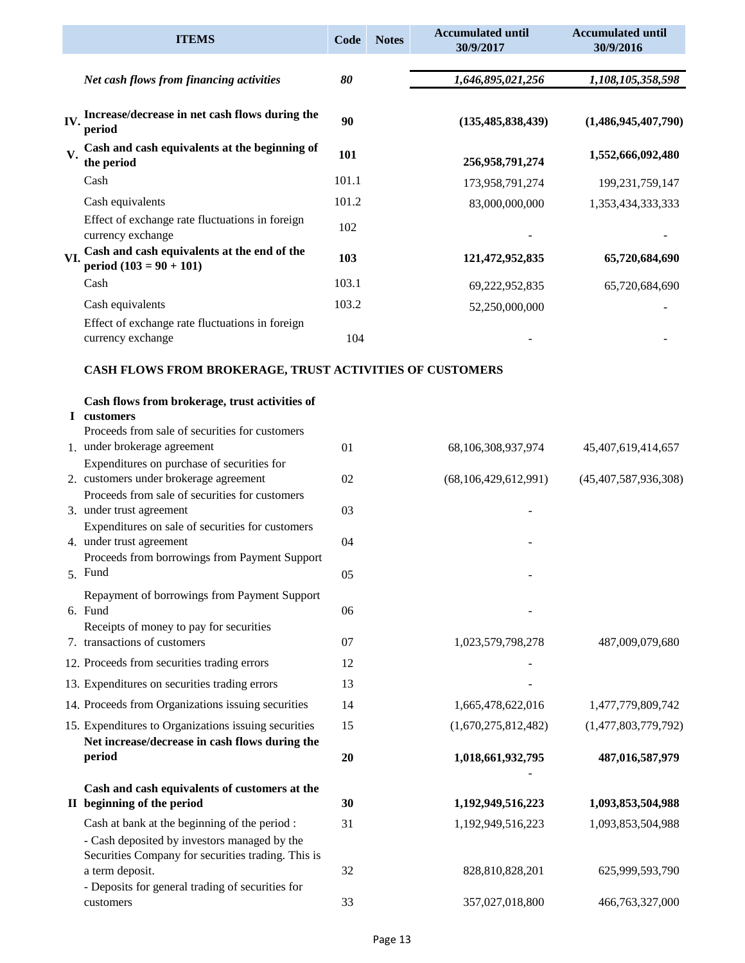|     | <b>ITEMS</b>                                                                                       | Code  | <b>Notes</b> | <b>Accumulated until</b><br>30/9/2017 | <b>Accumulated until</b><br>30/9/2016 |
|-----|----------------------------------------------------------------------------------------------------|-------|--------------|---------------------------------------|---------------------------------------|
|     | Net cash flows from financing activities                                                           | 80    |              | 1,646,895,021,256                     | 1,108,105,358,598                     |
| IV. | Increase/decrease in net cash flows during the<br>period                                           | 90    |              | (135, 485, 838, 439)                  | (1,486,945,407,790)                   |
| V.  | Cash and cash equivalents at the beginning of<br>the period                                        | 101   |              | 256,958,791,274                       | 1,552,666,092,480                     |
|     | Cash                                                                                               | 101.1 |              | 173,958,791,274                       | 199, 231, 759, 147                    |
|     | Cash equivalents                                                                                   | 101.2 |              | 83,000,000,000                        | 1,353,434,333,333                     |
|     | Effect of exchange rate fluctuations in foreign<br>currency exchange                               | 102   |              |                                       |                                       |
| VI. | Cash and cash equivalents at the end of the<br>period $(103 = 90 + 101)$                           | 103   |              | 121,472,952,835                       | 65,720,684,690                        |
|     | Cash                                                                                               | 103.1 |              | 69,222,952,835                        | 65,720,684,690                        |
|     | Cash equivalents                                                                                   | 103.2 |              | 52,250,000,000                        |                                       |
|     | Effect of exchange rate fluctuations in foreign<br>currency exchange                               | 104   |              |                                       |                                       |
|     | CASH FLOWS FROM BROKERAGE, TRUST ACTIVITIES OF CUSTOMERS                                           |       |              |                                       |                                       |
|     | Cash flows from brokerage, trust activities of                                                     |       |              |                                       |                                       |
|     | I customers                                                                                        |       |              |                                       |                                       |
|     | Proceeds from sale of securities for customers<br>1. under brokerage agreement                     | 01    |              | 68,106,308,937,974                    | 45,407,619,414,657                    |
|     | Expenditures on purchase of securities for<br>2. customers under brokerage agreement               | 02    |              | (68, 106, 429, 612, 991)              | (45, 407, 587, 936, 308)              |
|     | Proceeds from sale of securities for customers<br>3. under trust agreement                         | 03    |              |                                       |                                       |
|     | Expenditures on sale of securities for customers<br>4. under trust agreement                       | 04    |              |                                       |                                       |
|     | Proceeds from borrowings from Payment Support                                                      |       |              |                                       |                                       |
|     | 5. Fund                                                                                            | 05    |              |                                       |                                       |
|     | Repayment of borrowings from Payment Support<br>6. Fund                                            | 06    |              |                                       |                                       |
|     | Receipts of money to pay for securities<br>7. transactions of customers                            | 07    |              | 1,023,579,798,278                     | 487,009,079,680                       |
|     | 12. Proceeds from securities trading errors                                                        | 12    |              |                                       |                                       |
|     | 13. Expenditures on securities trading errors                                                      | 13    |              |                                       |                                       |
|     | 14. Proceeds from Organizations issuing securities                                                 | 14    |              | 1,665,478,622,016                     | 1,477,779,809,742                     |
|     | 15. Expenditures to Organizations issuing securities                                               | 15    |              | (1,670,275,812,482)                   | (1,477,803,779,792)                   |
|     | Net increase/decrease in cash flows during the<br>period                                           | 20    |              | 1,018,661,932,795                     | 487,016,587,979                       |
|     | Cash and cash equivalents of customers at the                                                      |       |              |                                       |                                       |
|     | II beginning of the period                                                                         | 30    |              | 1,192,949,516,223                     | 1,093,853,504,988                     |
|     | Cash at bank at the beginning of the period :                                                      | 31    |              | 1,192,949,516,223                     | 1,093,853,504,988                     |
|     | - Cash deposited by investors managed by the<br>Securities Company for securities trading. This is |       |              |                                       |                                       |
|     | a term deposit.<br>- Deposits for general trading of securities for                                | 32    |              | 828,810,828,201                       | 625,999,593,790                       |
|     | customers                                                                                          | 33    |              | 357,027,018,800                       | 466,763,327,000                       |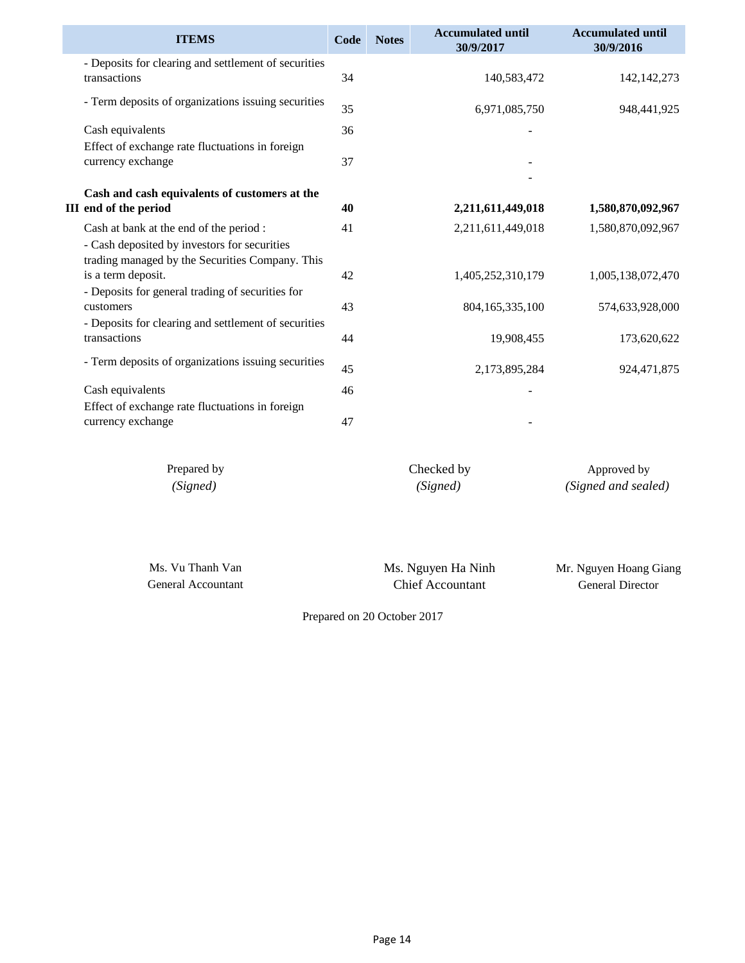| <b>ITEMS</b>                                                                                    | Code | <b>Notes</b> | <b>Accumulated until</b><br>30/9/2017 | <b>Accumulated until</b><br>30/9/2016 |
|-------------------------------------------------------------------------------------------------|------|--------------|---------------------------------------|---------------------------------------|
| - Deposits for clearing and settlement of securities<br>transactions                            | 34   |              | 140,583,472                           | 142, 142, 273                         |
| - Term deposits of organizations issuing securities                                             | 35   |              | 6,971,085,750                         | 948, 441, 925                         |
| Cash equivalents<br>Effect of exchange rate fluctuations in foreign                             | 36   |              |                                       |                                       |
| currency exchange                                                                               | 37   |              |                                       |                                       |
| Cash and cash equivalents of customers at the                                                   |      |              |                                       |                                       |
| <b>III</b> end of the period                                                                    | 40   |              | 2,211,611,449,018                     | 1,580,870,092,967                     |
| Cash at bank at the end of the period :                                                         | 41   |              | 2,211,611,449,018                     | 1,580,870,092,967                     |
| - Cash deposited by investors for securities<br>trading managed by the Securities Company. This |      |              |                                       |                                       |
| is a term deposit.                                                                              | 42   |              | 1,405,252,310,179                     | 1,005,138,072,470                     |
| - Deposits for general trading of securities for<br>customers                                   | 43   |              | 804,165,335,100                       | 574,633,928,000                       |
| - Deposits for clearing and settlement of securities<br>transactions                            | 44   |              | 19,908,455                            | 173,620,622                           |
| - Term deposits of organizations issuing securities                                             | 45   |              | 2,173,895,284                         | 924, 471, 875                         |
| Cash equivalents                                                                                | 46   |              |                                       |                                       |
| Effect of exchange rate fluctuations in foreign                                                 |      |              |                                       |                                       |
| currency exchange                                                                               | 47   |              |                                       |                                       |

| Prepared by | Checked by | Approved by         |
|-------------|------------|---------------------|
| (Signed)    | (Signed)   | (Signed and sealed) |

Ms. Vu Thanh Van Ms. Nguyen Ha Ninh

General Accountant Chief Accountant

Mr. Nguyen Hoang Giang General Director

Prepared on 20 October 2017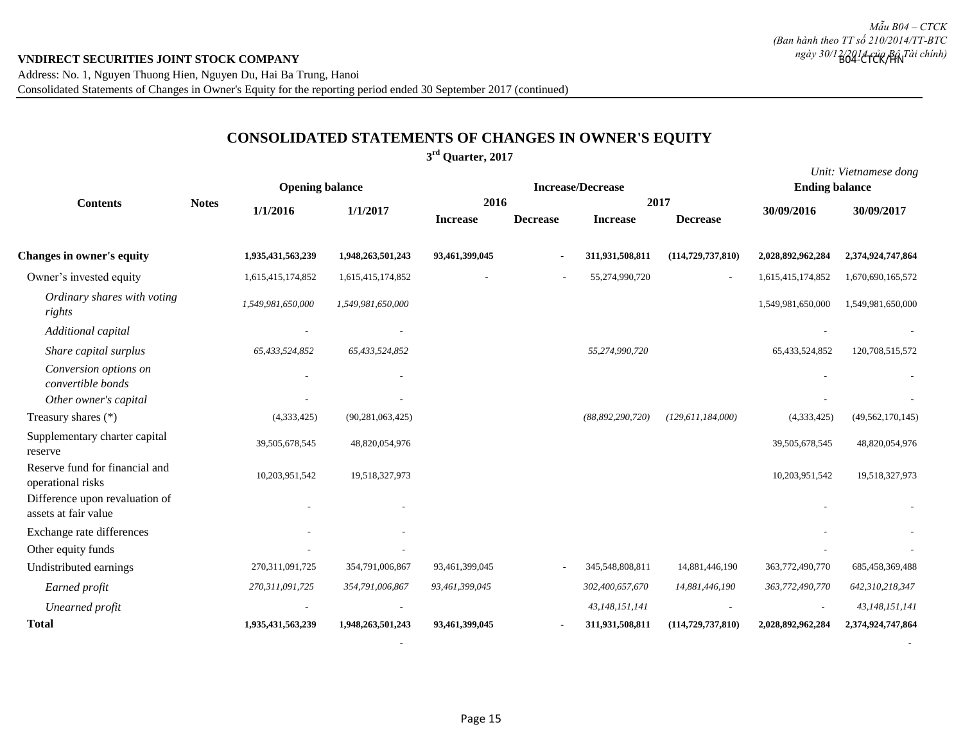## **CONSOLIDATED STATEMENTS OF CHANGES IN OWNER'S EQUITY**

**3 rd Quarter, 2017**

|                                                        | <b>Opening balance</b> |                    |                     | <b>Increase/Decrease</b> |                 |                     |                      | Unit: Vietnamese dong<br><b>Ending balance</b> |                     |
|--------------------------------------------------------|------------------------|--------------------|---------------------|--------------------------|-----------------|---------------------|----------------------|------------------------------------------------|---------------------|
| <b>Contents</b>                                        | <b>Notes</b>           | 1/1/2016           | 1/1/2017            | 2016                     |                 |                     | 2017                 | 30/09/2016                                     | 30/09/2017          |
|                                                        |                        |                    |                     | <b>Increase</b>          | <b>Decrease</b> | <b>Increase</b>     | <b>Decrease</b>      |                                                |                     |
| <b>Changes in owner's equity</b>                       |                        | 1,935,431,563,239  | 1,948,263,501,243   | 93,461,399,045           |                 | 311,931,508,811     | (114, 729, 737, 810) | 2,028,892,962,284                              | 2,374,924,747,864   |
| Owner's invested equity                                |                        | 1,615,415,174,852  | 1,615,415,174,852   |                          |                 | 55,274,990,720      |                      | 1,615,415,174,852                              | 1,670,690,165,572   |
| Ordinary shares with voting<br>rights                  |                        | 1,549,981,650,000  | 1,549,981,650,000   |                          |                 |                     |                      | 1,549,981,650,000                              | 1,549,981,650,000   |
| Additional capital                                     |                        |                    |                     |                          |                 |                     |                      |                                                |                     |
| Share capital surplus                                  |                        | 65,433,524,852     | 65,433,524,852      |                          |                 | 55,274,990,720      |                      | 65,433,524,852                                 | 120,708,515,572     |
| Conversion options on<br>convertible bonds             |                        |                    |                     |                          |                 |                     |                      |                                                |                     |
| Other owner's capital                                  |                        |                    |                     |                          |                 |                     |                      |                                                |                     |
| Treasury shares (*)                                    |                        | (4,333,425)        | (90, 281, 063, 425) |                          |                 | (88, 892, 290, 720) | (129, 611, 184, 000) | (4,333,425)                                    | (49, 562, 170, 145) |
| Supplementary charter capital<br>reserve               |                        | 39,505,678,545     | 48,820,054,976      |                          |                 |                     |                      | 39,505,678,545                                 | 48,820,054,976      |
| Reserve fund for financial and<br>operational risks    |                        | 10,203,951,542     | 19,518,327,973      |                          |                 |                     |                      | 10,203,951,542                                 | 19,518,327,973      |
| Difference upon revaluation of<br>assets at fair value |                        |                    |                     |                          |                 |                     |                      |                                                |                     |
| Exchange rate differences                              |                        |                    |                     |                          |                 |                     |                      |                                                |                     |
| Other equity funds                                     |                        |                    |                     |                          |                 |                     |                      |                                                |                     |
| Undistributed earnings                                 |                        | 270, 311, 091, 725 | 354,791,006,867     | 93,461,399,045           |                 | 345,548,808,811     | 14,881,446,190       | 363,772,490,770                                | 685,458,369,488     |
| Earned profit                                          |                        | 270,311,091,725    | 354,791,006,867     | 93,461,399,045           |                 | 302,400,657,670     | 14,881,446,190       | 363,772,490,770                                | 642,310,218,347     |
| Unearned profit                                        |                        |                    |                     |                          |                 | 43,148,151,141      |                      |                                                | 43,148,151,141      |
| <b>Total</b>                                           |                        | 1,935,431,563,239  | 1,948,263,501,243   | 93,461,399,045           |                 | 311,931,508,811     | (114, 729, 737, 810) | 2,028,892,962,284                              | 2,374,924,747,864   |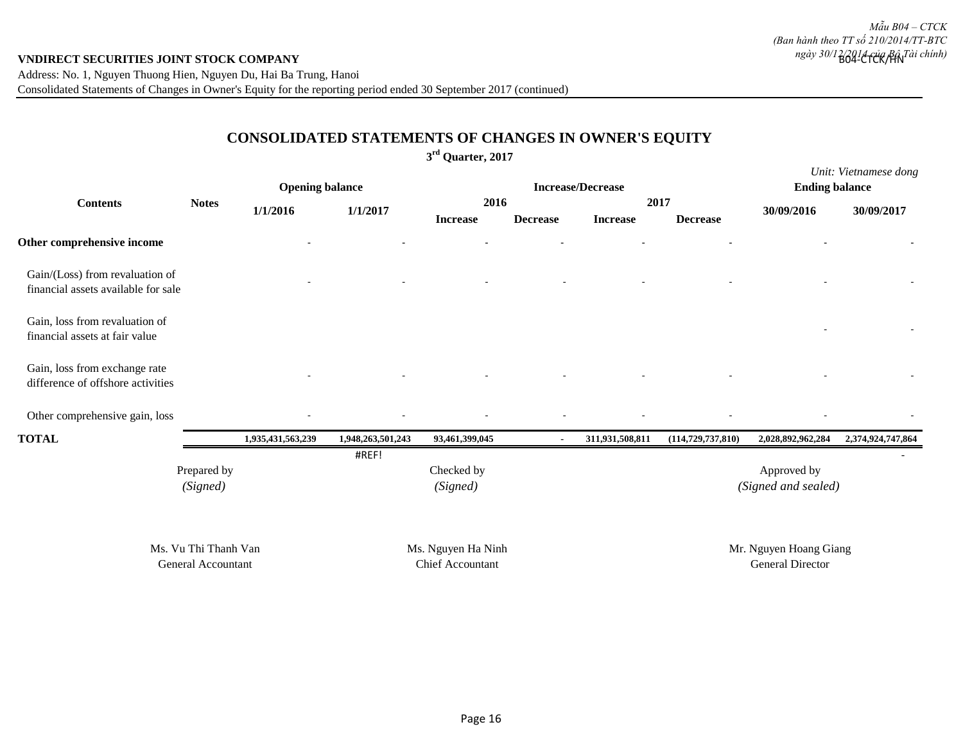## **CONSOLIDATED STATEMENTS OF CHANGES IN OWNER'S EQUITY**

**3 rd Quarter, 2017**

|                                                                        |                                            | <b>Opening balance</b> |                   |                                        |                 | <b>Increase/Decrease</b> |                         | <b>Ending balance</b>                      | Unit: Vietnamese dong |
|------------------------------------------------------------------------|--------------------------------------------|------------------------|-------------------|----------------------------------------|-----------------|--------------------------|-------------------------|--------------------------------------------|-----------------------|
| <b>Contents</b>                                                        | <b>Notes</b>                               | 1/1/2016               | 1/1/2017          | 2016<br><b>Increase</b>                | <b>Decrease</b> | <b>Increase</b>          | 2017<br><b>Decrease</b> | 30/09/2016                                 | 30/09/2017            |
| Other comprehensive income                                             |                                            |                        |                   |                                        |                 |                          |                         |                                            |                       |
| Gain/(Loss) from revaluation of<br>financial assets available for sale |                                            |                        |                   |                                        |                 |                          |                         |                                            |                       |
| Gain, loss from revaluation of<br>financial assets at fair value       |                                            |                        |                   |                                        |                 |                          |                         |                                            |                       |
| Gain, loss from exchange rate<br>difference of offshore activities     |                                            |                        |                   |                                        |                 |                          |                         |                                            |                       |
| Other comprehensive gain, loss                                         |                                            |                        |                   |                                        |                 |                          |                         |                                            |                       |
| <b>TOTAL</b>                                                           |                                            | 1,935,431,563,239      | 1,948,263,501,243 | 93,461,399,045                         | $\blacksquare$  | 311,931,508,811          | (114, 729, 737, 810)    | 2,028,892,962,284                          | 2,374,924,747,864     |
|                                                                        | Prepared by<br>(Signed)                    |                        | #REF!             | Checked by<br>(Signed)                 |                 |                          |                         | Approved by<br>(Signed and sealed)         |                       |
|                                                                        | Ms. Vu Thi Thanh Van<br>General Accountant |                        |                   | Ms. Nguyen Ha Ninh<br>Chief Accountant |                 |                          |                         | Mr. Nguyen Hoang Giang<br>General Director |                       |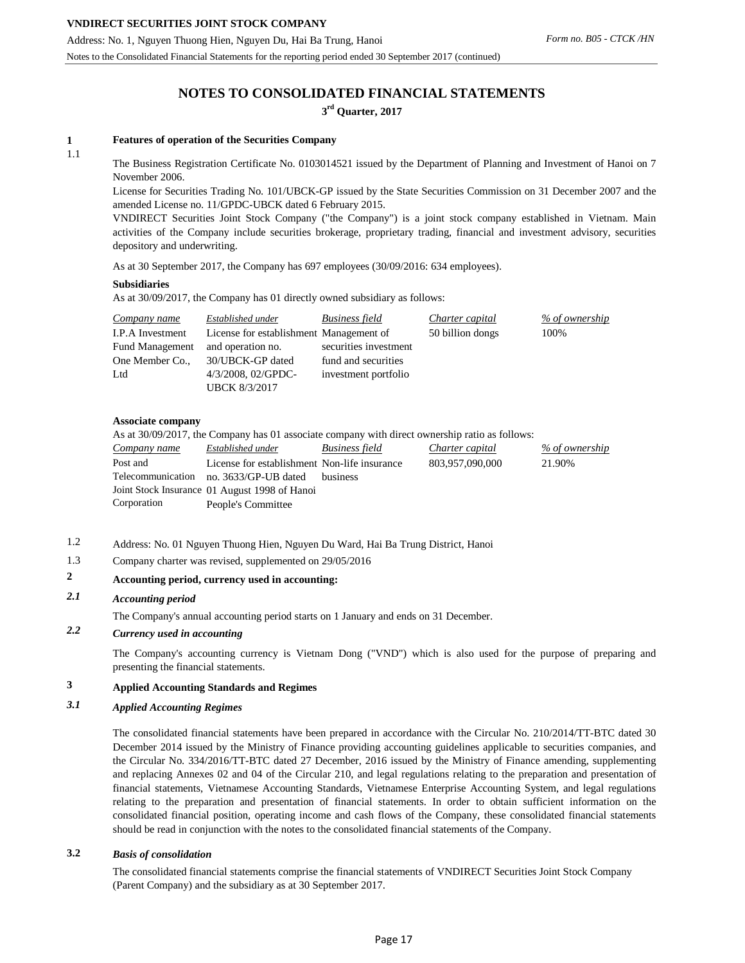Address: No. 1, Nguyen Thuong Hien, Nguyen Du, Hai Ba Trung, Hanoi

## **NOTES TO CONSOLIDATED FINANCIAL STATEMENTS**

### **3 rd Quarter, 2017**

#### **1 Features of operation of the Securities Company**

#### 1.1

The Business Registration Certificate No. 0103014521 issued by the Department of Planning and Investment of Hanoi on 7 November 2006.

License for Securities Trading No. 101/UBCK-GP issued by the State Securities Commission on 31 December 2007 and the amended License no. 11/GPDC-UBCK dated 6 February 2015.

VNDIRECT Securities Joint Stock Company ("the Company") is a joint stock company established in Vietnam. Main activities of the Company include securities brokerage, proprietary trading, financial and investment advisory, securities depository and underwriting.

As at 30 September 2017, the Company has 697 employees (30/09/2016: 634 employees).

#### **Subsidiaries**

As at 30/09/2017, the Company has 01 directly owned subsidiary as follows:

| Company name           | Established under                       | <b>Business field</b> | Charter capital  | % of ownership |
|------------------------|-----------------------------------------|-----------------------|------------------|----------------|
| I.P.A Investment       | License for establishment Management of |                       | 50 billion dongs | 100%           |
| <b>Fund Management</b> | and operation no.                       | securities investment |                  |                |
| One Member Co.,        | 30/UBCK-GP dated                        | fund and securities   |                  |                |
| Ltd                    | 4/3/2008, 02/GPDC-                      | investment portfolio  |                  |                |
|                        | <b>UBCK 8/3/2017</b>                    |                       |                  |                |

#### **Associate company**

As at 30/09/2017, the Company has 01 associate company with direct ownership ratio as follows:

| Company name | Established under                             | Business field  | Charter capital | % of ownership |
|--------------|-----------------------------------------------|-----------------|-----------------|----------------|
| Post and     | License for establishment Non-life insurance  |                 | 803.957.090.000 | 21.90%         |
|              | Telecommunication no. 3633/GP-UB dated        | <b>business</b> |                 |                |
|              | Joint Stock Insurance 01 August 1998 of Hanoi |                 |                 |                |
| Corporation  | People's Committee                            |                 |                 |                |

- 1.2 Address: No. 01 Nguyen Thuong Hien, Nguyen Du Ward, Hai Ba Trung District, Hanoi
- 1.3 Company charter was revised, supplemented on 29/05/2016

### **2 Accounting period, currency used in accounting:**

### *2.1 Accounting period*

The Company's annual accounting period starts on 1 January and ends on 31 December.

## *2.2 Currency used in accounting*

The Company's accounting currency is Vietnam Dong ("VND") which is also used for the purpose of preparing and presenting the financial statements.

#### **3 Applied Accounting Standards and Regimes**

#### *3.1 Applied Accounting Regimes*

The consolidated financial statements have been prepared in accordance with the Circular No. 210/2014/TT-BTC dated 30 December 2014 issued by the Ministry of Finance providing accounting guidelines applicable to securities companies, and the Circular No. 334/2016/TT-BTC dated 27 December, 2016 issued by the Ministry of Finance amending, supplementing and replacing Annexes 02 and 04 of the Circular 210, and legal regulations relating to the preparation and presentation of financial statements, Vietnamese Accounting Standards, Vietnamese Enterprise Accounting System, and legal regulations relating to the preparation and presentation of financial statements. In order to obtain sufficient information on the consolidated financial position, operating income and cash flows of the Company, these consolidated financial statements should be read in conjunction with the notes to the consolidated financial statements of the Company.

#### **3.2** *Basis of consolidation*

The consolidated financial statements comprise the financial statements of VNDIRECT Securities Joint Stock Company (Parent Company) and the subsidiary as at 30 September 2017.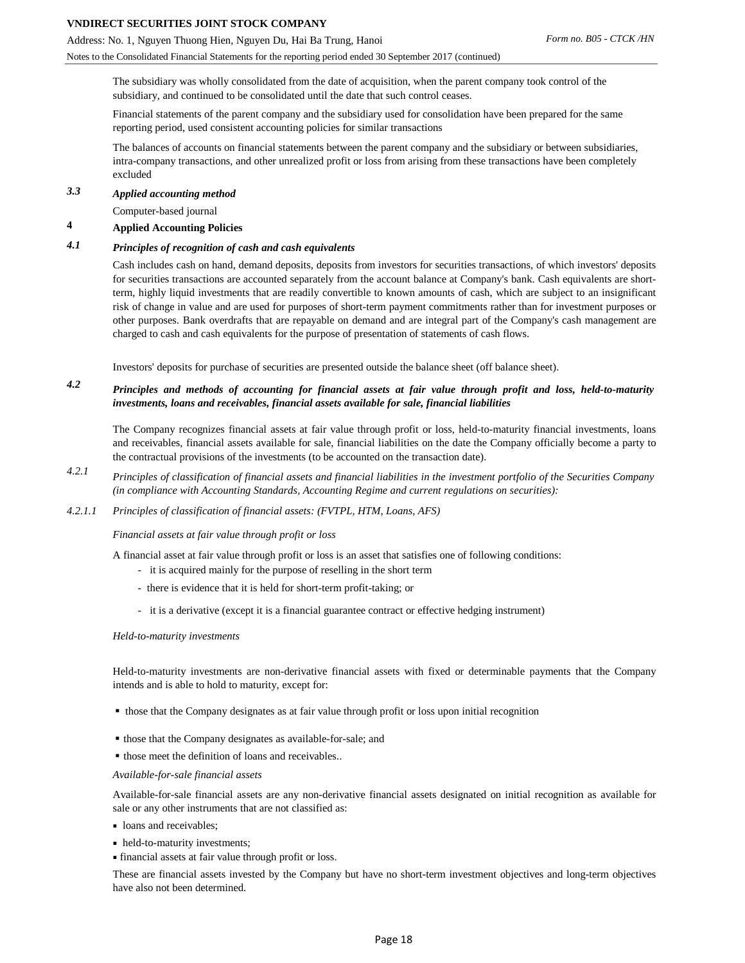Notes to the Consolidated Financial Statements for the reporting period ended 30 September 2017 (continued)

The subsidiary was wholly consolidated from the date of acquisition, when the parent company took control of the subsidiary, and continued to be consolidated until the date that such control ceases.

Financial statements of the parent company and the subsidiary used for consolidation have been prepared for the same reporting period, used consistent accounting policies for similar transactions

The balances of accounts on financial statements between the parent company and the subsidiary or between subsidiaries, intra-company transactions, and other unrealized profit or loss from arising from these transactions have been completely excluded

#### *3.3 Applied accounting method*

Computer-based journal

#### **4 Applied Accounting Policies**

#### *4.1 Principles of recognition of cash and cash equivalents*

Cash includes cash on hand, demand deposits, deposits from investors for securities transactions, of which investors' deposits for securities transactions are accounted separately from the account balance at Company's bank. Cash equivalents are shortterm, highly liquid investments that are readily convertible to known amounts of cash, which are subject to an insignificant risk of change in value and are used for purposes of short-term payment commitments rather than for investment purposes or other purposes. Bank overdrafts that are repayable on demand and are integral part of the Company's cash management are charged to cash and cash equivalents for the purpose of presentation of statements of cash flows.

Investors' deposits for purchase of securities are presented outside the balance sheet (off balance sheet).

#### *4.2* Principles and methods of accounting for financial assets at fair value through profit and loss, held-to-maturity *investments, loans and receivables, financial assets available for sale, financial liabilities*

The Company recognizes financial assets at fair value through profit or loss, held-to-maturity financial investments, loans and receivables, financial assets available for sale, financial liabilities on the date the Company officially become a party to the contractual provisions of the investments (to be accounted on the transaction date).

- *4.2.1* Principles of classification of financial assets and financial liabilities in the investment portfolio of the Securities Company *(in compliance with Accounting Standards, Accounting Regime and current regulations on securities):*
- *4.2.1.1 Principles of classification of financial assets: (FVTPL, HTM, Loans, AFS)*

#### *Financial assets at fair value through profit or loss*

A financial asset at fair value through profit or loss is an asset that satisfies one of following conditions:

- it is acquired mainly for the purpose of reselling in the short term
- there is evidence that it is held for short-term profit-taking; or
- it is a derivative (except it is a financial guarantee contract or effective hedging instrument)

#### *Held-to-maturity investments*

Held-to-maturity investments are non-derivative financial assets with fixed or determinable payments that the Company intends and is able to hold to maturity, except for:

- those that the Company designates as at fair value through profit or loss upon initial recognition
- those that the Company designates as available-for-sale; and
- those meet the definition of loans and receivables..

#### *Available-for-sale financial assets*

Available-for-sale financial assets are any non-derivative financial assets designated on initial recognition as available for sale or any other instruments that are not classified as:

- loans and receivables:
- held-to-maturity investments;
- financial assets at fair value through profit or loss.

These are financial assets invested by the Company but have no short-term investment objectives and long-term objectives have also not been determined.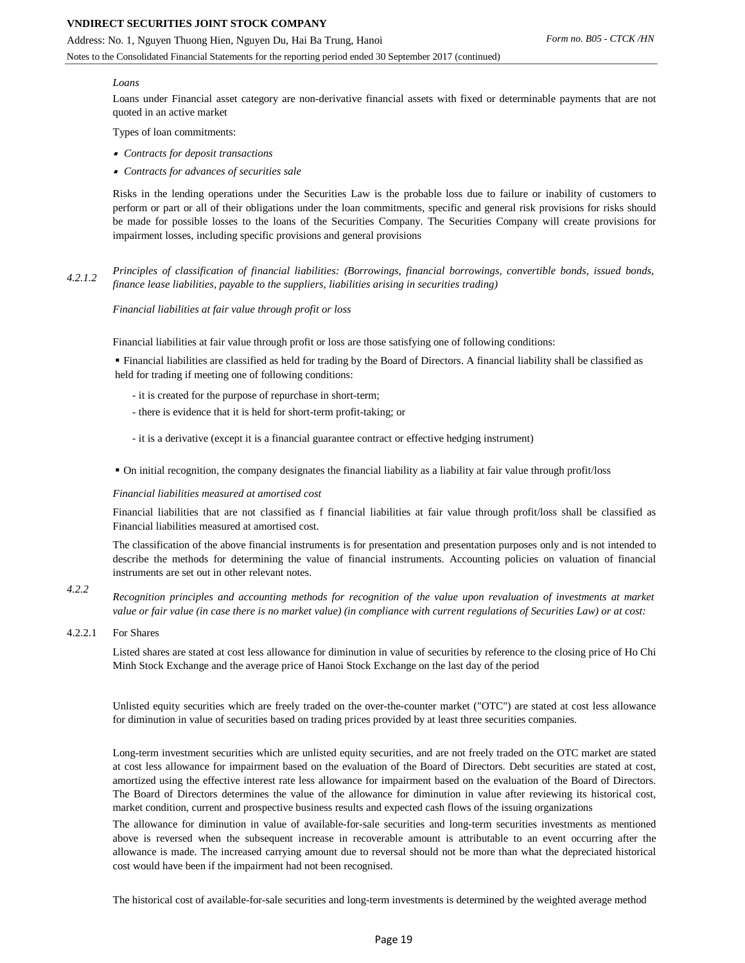#### Notes to the Consolidated Financial Statements for the reporting period ended 30 September 2017 (continued)

#### *Loans*

Loans under Financial asset category are non-derivative financial assets with fixed or determinable payments that are not quoted in an active market

Types of loan commitments:

- *Contracts for deposit transactions*
- *Contracts for advances of securities sale*

Risks in the lending operations under the Securities Law is the probable loss due to failure or inability of customers to perform or part or all of their obligations under the loan commitments, specific and general risk provisions for risks should be made for possible losses to the loans of the Securities Company. The Securities Company will create provisions for impairment losses, including specific provisions and general provisions

#### *4.2.1.2 Principles of classification of financial liabilities: (Borrowings, financial borrowings, convertible bonds, issued bonds, finance lease liabilities, payable to the suppliers, liabilities arising in securities trading)*

*Financial liabilities at fair value through profit or loss*

Financial liabilities at fair value through profit or loss are those satisfying one of following conditions:

 Financial liabilities are classified as held for trading by the Board of Directors. A financial liability shall be classified as held for trading if meeting one of following conditions:

- it is created for the purpose of repurchase in short-term;
- there is evidence that it is held for short-term profit-taking; or
- it is a derivative (except it is a financial guarantee contract or effective hedging instrument)
- On initial recognition, the company designates the financial liability as a liability at fair value through profit/loss

#### *Financial liabilities measured at amortised cost*

Financial liabilities that are not classified as f financial liabilities at fair value through profit/loss shall be classified as Financial liabilities measured at amortised cost.

The classification of the above financial instruments is for presentation and presentation purposes only and is not intended to describe the methods for determining the value of financial instruments. Accounting policies on valuation of financial instruments are set out in other relevant notes.

*4.2.2* Recognition principles and accounting methods for recognition of the value upon revaluation of investments at market *value or fair value (in case there is no market value) (in compliance with current regulations of Securities Law) or at cost:*

4.2.2.1 For Shares

Listed shares are stated at cost less allowance for diminution in value of securities by reference to the closing price of Ho Chi Minh Stock Exchange and the average price of Hanoi Stock Exchange on the last day of the period

Unlisted equity securities which are freely traded on the over-the-counter market ("OTC") are stated at cost less allowance for diminution in value of securities based on trading prices provided by at least three securities companies.

Long-term investment securities which are unlisted equity securities, and are not freely traded on the OTC market are stated at cost less allowance for impairment based on the evaluation of the Board of Directors. Debt securities are stated at cost, amortized using the effective interest rate less allowance for impairment based on the evaluation of the Board of Directors. The Board of Directors determines the value of the allowance for diminution in value after reviewing its historical cost, market condition, current and prospective business results and expected cash flows of the issuing organizations

The allowance for diminution in value of available-for-sale securities and long-term securities investments as mentioned above is reversed when the subsequent increase in recoverable amount is attributable to an event occurring after the allowance is made. The increased carrying amount due to reversal should not be more than what the depreciated historical cost would have been if the impairment had not been recognised.

The historical cost of available-for-sale securities and long-term investments is determined by the weighted average method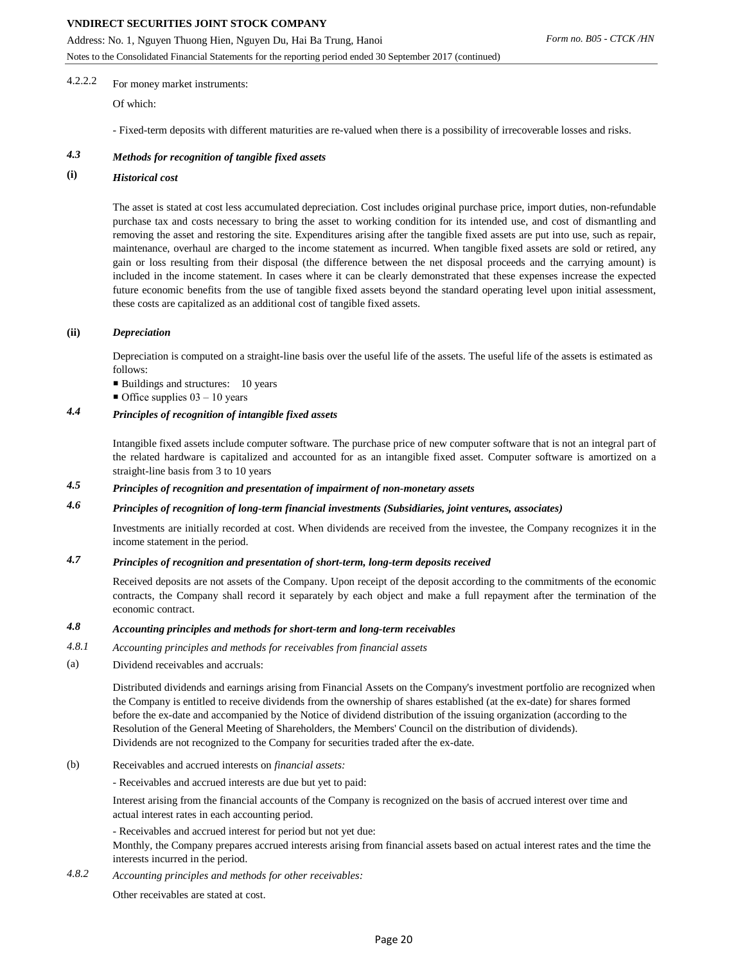Address: No. 1, Nguyen Thuong Hien, Nguyen Du, Hai Ba Trung, Hanoi

Notes to the Consolidated Financial Statements for the reporting period ended 30 September 2017 (continued)

### 4.2.2.2 For money market instruments:

Of which:

- Fixed-term deposits with different maturities are re-valued when there is a possibility of irrecoverable losses and risks.

## *4.3 Methods for recognition of tangible fixed assets*

### **(i)** *Historical cost*

The asset is stated at cost less accumulated depreciation. Cost includes original purchase price, import duties, non-refundable purchase tax and costs necessary to bring the asset to working condition for its intended use, and cost of dismantling and removing the asset and restoring the site. Expenditures arising after the tangible fixed assets are put into use, such as repair, maintenance, overhaul are charged to the income statement as incurred. When tangible fixed assets are sold or retired, any gain or loss resulting from their disposal (the difference between the net disposal proceeds and the carrying amount) is included in the income statement. In cases where it can be clearly demonstrated that these expenses increase the expected future economic benefits from the use of tangible fixed assets beyond the standard operating level upon initial assessment, these costs are capitalized as an additional cost of tangible fixed assets.

#### **(ii)** *Depreciation*

Depreciation is computed on a straight-line basis over the useful life of the assets. The useful life of the assets is estimated as follows:

- Buildings and structures: 10 years
- $\blacksquare$  Office supplies 03 10 years

### *4.4 Principles of recognition of intangible fixed assets*

Intangible fixed assets include computer software. The purchase price of new computer software that is not an integral part of the related hardware is capitalized and accounted for as an intangible fixed asset. Computer software is amortized on a straight-line basis from 3 to 10 years

### *4.5 Principles of recognition and presentation of impairment of non-monetary assets*

### *4.6 Principles of recognition of long-term financial investments (Subsidiaries, joint ventures, associates)*

Investments are initially recorded at cost. When dividends are received from the investee, the Company recognizes it in the income statement in the period.

### *4.7 Principles of recognition and presentation of short-term, long-term deposits received*

Received deposits are not assets of the Company. Upon receipt of the deposit according to the commitments of the economic contracts, the Company shall record it separately by each object and make a full repayment after the termination of the economic contract.

#### *4.8 Accounting principles and methods for short-term and long-term receivables*

- *4.8.1 Accounting principles and methods for receivables from financial assets*
- (a) Dividend receivables and accruals:

Distributed dividends and earnings arising from Financial Assets on the Company's investment portfolio are recognized when the Company is entitled to receive dividends from the ownership of shares established (at the ex-date) for shares formed before the ex-date and accompanied by the Notice of dividend distribution of the issuing organization (according to the Resolution of the General Meeting of Shareholders, the Members' Council on the distribution of dividends). Dividends are not recognized to the Company for securities traded after the ex-date.

(b) Receivables and accrued interests on *financial assets:*

- Receivables and accrued interests are due but yet to paid:

Interest arising from the financial accounts of the Company is recognized on the basis of accrued interest over time and actual interest rates in each accounting period.

- Receivables and accrued interest for period but not yet due:

Monthly, the Company prepares accrued interests arising from financial assets based on actual interest rates and the time the interests incurred in the period.

*4.8.2 Accounting principles and methods for other receivables:*

Other receivables are stated at cost.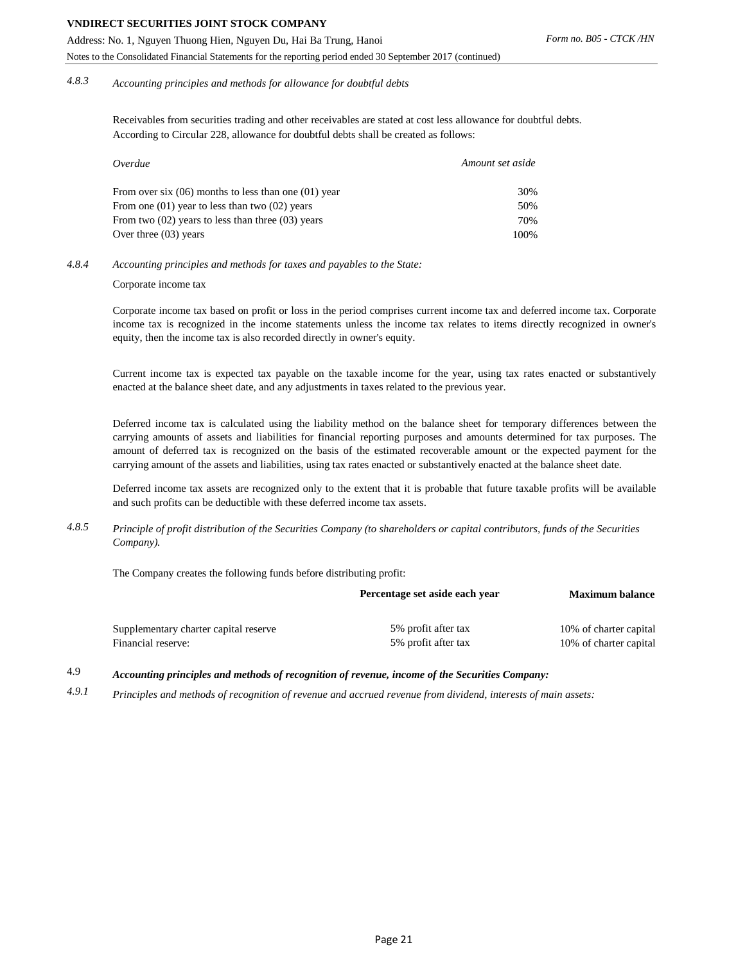### Notes to the Consolidated Financial Statements for the reporting period ended 30 September 2017 (continued)

#### *4.8.3 Accounting principles and methods for allowance for doubtful debts*

Receivables from securities trading and other receivables are stated at cost less allowance for doubtful debts. According to Circular 228, allowance for doubtful debts shall be created as follows:

| Overdue                                                  | Amount set aside |
|----------------------------------------------------------|------------------|
| From over six $(06)$ months to less than one $(01)$ year | 30%              |
| From one $(01)$ year to less than two $(02)$ years       | 50%              |
| From two $(02)$ years to less than three $(03)$ years    | 70%              |
| Over three $(03)$ years                                  | 100%             |

#### *4.8.4 Accounting principles and methods for taxes and payables to the State:*

#### Corporate income tax

Corporate income tax based on profit or loss in the period comprises current income tax and deferred income tax. Corporate income tax is recognized in the income statements unless the income tax relates to items directly recognized in owner's equity, then the income tax is also recorded directly in owner's equity.

Current income tax is expected tax payable on the taxable income for the year, using tax rates enacted or substantively enacted at the balance sheet date, and any adjustments in taxes related to the previous year.

Deferred income tax is calculated using the liability method on the balance sheet for temporary differences between the carrying amounts of assets and liabilities for financial reporting purposes and amounts determined for tax purposes. The amount of deferred tax is recognized on the basis of the estimated recoverable amount or the expected payment for the carrying amount of the assets and liabilities, using tax rates enacted or substantively enacted at the balance sheet date.

Deferred income tax assets are recognized only to the extent that it is probable that future taxable profits will be available and such profits can be deductible with these deferred income tax assets.

*4.8.5 Principle of profit distribution of the Securities Company (to shareholders or capital contributors, funds of the Securities Company).*

The Company creates the following funds before distributing profit:

|                                       | Percentage set aside each year | <b>Maximum balance</b> |
|---------------------------------------|--------------------------------|------------------------|
| Supplementary charter capital reserve | 5% profit after tax            | 10% of charter capital |
| Financial reserve:                    | 5% profit after tax            | 10% of charter capital |

4.9 *Accounting principles and methods of recognition of revenue, income of the Securities Company:*

*4.9.1 Principles and methods of recognition of revenue and accrued revenue from dividend, interests of main assets:*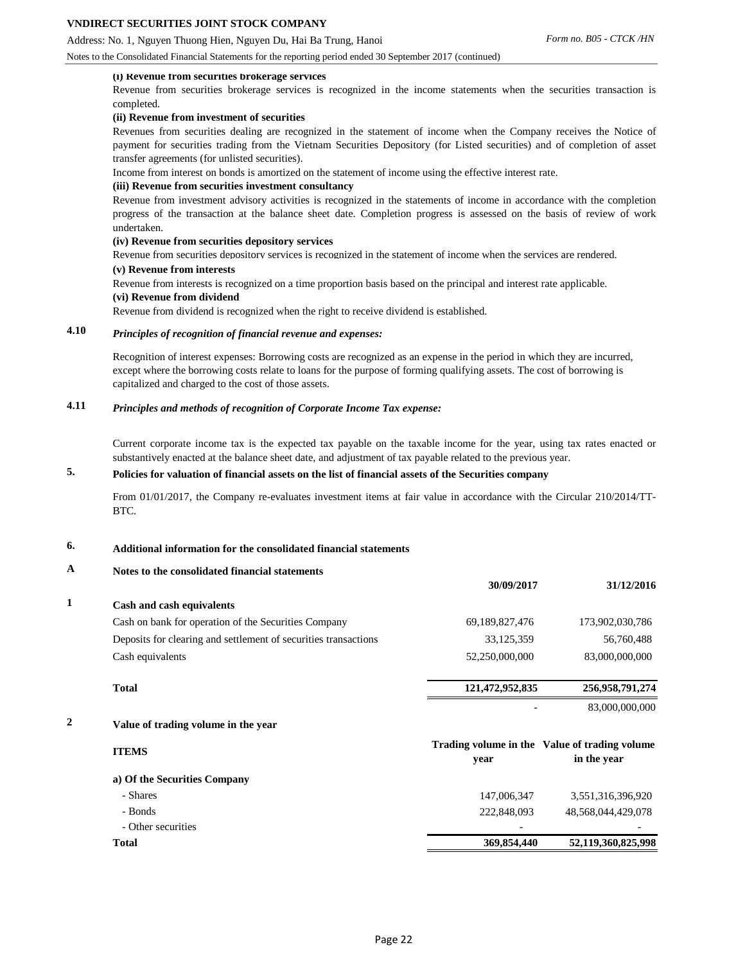Notes to the Consolidated Financial Statements for the reporting period ended 30 September 2017 (continued)

#### **(i) Revenue from securities brokerage services**

Revenue from securities brokerage services is recognized in the income statements when the securities transaction is completed.

#### **(ii) Revenue from investment of securities**

Revenues from securities dealing are recognized in the statement of income when the Company receives the Notice of payment for securities trading from the Vietnam Securities Depository (for Listed securities) and of completion of asset transfer agreements (for unlisted securities).

Income from interest on bonds is amortized on the statement of income using the effective interest rate.

#### **(iii) Revenue from securities investment consultancy**

Revenue from investment advisory activities is recognized in the statements of income in accordance with the completion progress of the transaction at the balance sheet date. Completion progress is assessed on the basis of review of work undertaken.

#### **(iv) Revenue from securities depository services**

Revenue from securities depository services is recognized in the statement of income when the services are rendered.

#### **(v) Revenue from interests**

Revenue from interests is recognized on a time proportion basis based on the principal and interest rate applicable.

#### **(vi) Revenue from dividend**

Revenue from dividend is recognized when the right to receive dividend is established.

### **4.10** *Principles of recognition of financial revenue and expenses:*

Recognition of interest expenses: Borrowing costs are recognized as an expense in the period in which they are incurred, except where the borrowing costs relate to loans for the purpose of forming qualifying assets. The cost of borrowing is capitalized and charged to the cost of those assets.

### **4.11** *Principles and methods of recognition of Corporate Income Tax expense:*

Current corporate income tax is the expected tax payable on the taxable income for the year, using tax rates enacted or substantively enacted at the balance sheet date, and adjustment of tax payable related to the previous year.

#### **5. Policies for valuation of financial assets on the list of financial assets of the Securities company**

From 01/01/2017, the Company re-evaluates investment items at fair value in accordance with the Circular 210/2014/TT-BTC.

### **6. Additional information for the consolidated financial statements**

### **A Notes to the consolidated financial statements**

|              |                                                                 | 30/09/2017      | 31/12/2016                                                   |
|--------------|-----------------------------------------------------------------|-----------------|--------------------------------------------------------------|
| $\mathbf{1}$ | Cash and cash equivalents                                       |                 |                                                              |
|              | Cash on bank for operation of the Securities Company            | 69,189,827,476  | 173,902,030,786                                              |
|              | Deposits for clearing and settlement of securities transactions | 33,125,359      | 56,760,488                                                   |
|              | Cash equivalents                                                | 52,250,000,000  | 83,000,000,000                                               |
|              | <b>Total</b>                                                    | 121,472,952,835 | 256,958,791,274                                              |
|              |                                                                 |                 | 83,000,000,000                                               |
| 2            | Value of trading volume in the year                             |                 |                                                              |
|              | <b>ITEMS</b>                                                    | year            | Trading volume in the Value of trading volume<br>in the year |
|              | a) Of the Securities Company                                    |                 |                                                              |
|              | - Shares                                                        | 147,006,347     | 3,551,316,396,920                                            |
|              | - Bonds                                                         | 222,848,093     | 48,568,044,429,078                                           |
|              | - Other securities                                              |                 |                                                              |
|              | <b>Total</b>                                                    | 369,854,440     | 52,119,360,825,998                                           |
|              |                                                                 |                 |                                                              |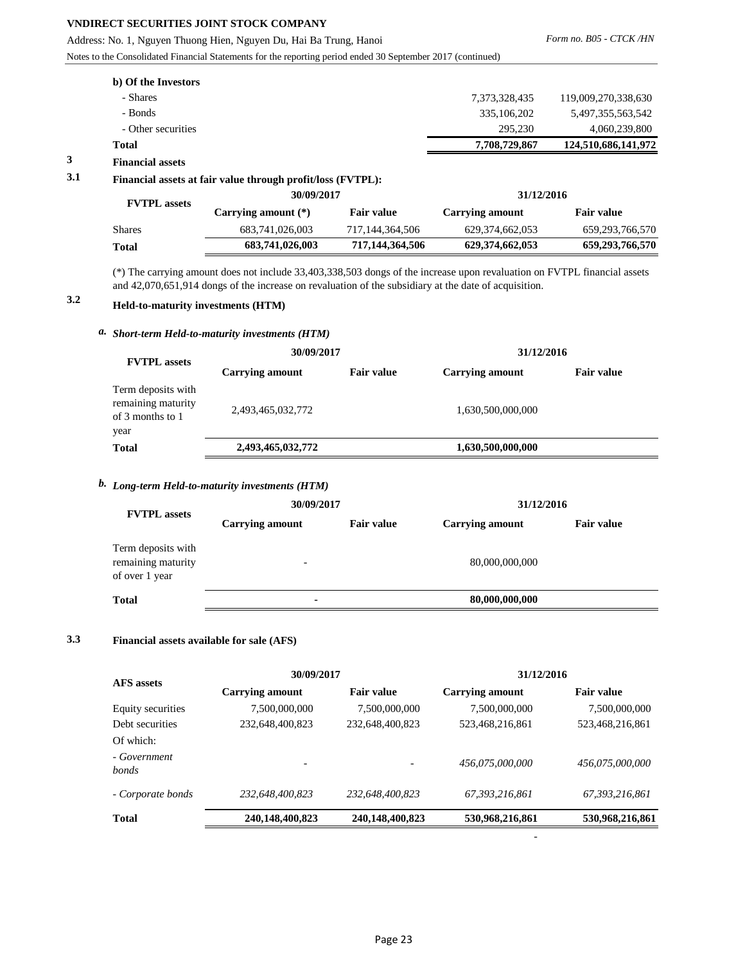Address: No. 1, Nguyen Thuong Hien, Nguyen Du, Hai Ba Trung, Hanoi

Notes to the Consolidated Financial Statements for the reporting period ended 30 September 2017 (continued)

| <b>Total</b>        | 7,708,729,867 | 124,510,686,141,972 |
|---------------------|---------------|---------------------|
| - Other securities  | 295,230       | 4,060,239,800       |
| - Bonds             | 335,106,202   | 5,497,355,563,542   |
| - Shares            | 7,373,328,435 | 119,009,270,338,630 |
| b) Of the Investors |               |                     |
|                     |               |                     |

**3.1 Financial assets at fair value through profit/loss (FVTPL):**

|                     | 30/09/2017            |                    | 31/12/2016         |                   |
|---------------------|-----------------------|--------------------|--------------------|-------------------|
| <b>FVTPL</b> assets | Carrying amount $(*)$ | <b>Fair value</b>  | Carrying amount    | <b>Fair value</b> |
| Shares              | 683,741,026,003       | 717, 144, 364, 506 | 629, 374, 662, 053 | 659,293,766,570   |
| Total               | 683,741,026,003       | 717,144,364,506    | 629,374,662,053    | 659,293,766,570   |

(\*) The carrying amount does not include 33,403,338,503 dongs of the increase upon revaluation on FVTPL financial assets and 42,070,651,914 dongs of the increase on revaluation of the subsidiary at the date of acquisition.

## **3.2 Held-to-maturity investments (HTM)**

### *a. Short-term Held-to-maturity investments (HTM)*

| <b>FVTPL</b> assets                                                  | 30/09/2017        |                   | 31/12/2016             |                   |
|----------------------------------------------------------------------|-------------------|-------------------|------------------------|-------------------|
|                                                                      | Carrying amount   | <b>Fair value</b> | <b>Carrying amount</b> | <b>Fair value</b> |
| Term deposits with<br>remaining maturity<br>of 3 months to 1<br>year | 2,493,465,032,772 |                   | 1.630.500.000.000      |                   |
| <b>Total</b>                                                         | 2,493,465,032,772 |                   | 1,630,500,000,000      |                   |

### *b. Long-term Held-to-maturity investments (HTM)*

| <b>FVTPL</b> assets                                        | 30/09/2017               |                   | 31/12/2016             |                   |
|------------------------------------------------------------|--------------------------|-------------------|------------------------|-------------------|
|                                                            | Carrying amount          | <b>Fair value</b> | <b>Carrying amount</b> | <b>Fair value</b> |
| Term deposits with<br>remaining maturity<br>of over 1 year | $\overline{\phantom{0}}$ |                   | 80,000,000,000         |                   |
| <b>Total</b>                                               | ٠                        |                   | 80,000,000,000         |                   |

### **3.3 Financial assets available for sale (AFS)**

| <b>AFS</b> assets     | 30/09/2017      |                   | 31/12/2016             |                   |
|-----------------------|-----------------|-------------------|------------------------|-------------------|
|                       | Carrying amount | <b>Fair value</b> | <b>Carrying amount</b> | <b>Fair value</b> |
| Equity securities     | 7,500,000,000   | 7,500,000,000     | 7,500,000,000          | 7,500,000,000     |
| Debt securities       | 232,648,400,823 | 232,648,400,823   | 523,468,216,861        | 523,468,216,861   |
| Of which:             |                 |                   |                        |                   |
| - Government<br>bonds |                 |                   | 456.075.000.000        | 456.075.000.000   |
| - Corporate bonds     | 232,648,400,823 | 232,648,400,823   | 67,393,216,861         | 67,393,216,861    |
| <b>Total</b>          | 240,148,400,823 | 240,148,400,823   | 530,968,216,861        | 530,968,216,861   |

-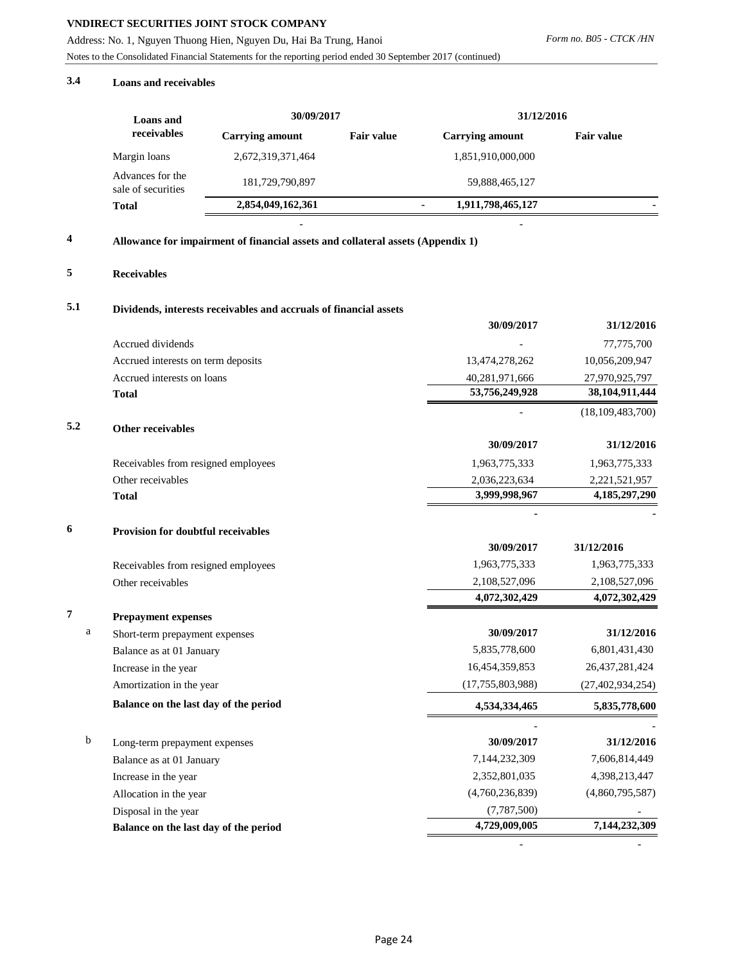Address: No. 1, Nguyen Thuong Hien, Nguyen Du, Hai Ba Trung, Hanoi Notes to the Consolidated Financial Statements for the reporting period ended 30 September 2017 (continued)

### **3.4 Loans and receivables**

| Loans and                              | 30/09/2017             |                   | 31/12/2016             |                   |
|----------------------------------------|------------------------|-------------------|------------------------|-------------------|
| receivables                            | <b>Carrying amount</b> | <b>Fair value</b> | <b>Carrying amount</b> | <b>Fair value</b> |
| Margin loans                           | 2,672,319,371,464      |                   | 1,851,910,000,000      |                   |
| Advances for the<br>sale of securities | 181,729,790,897        |                   | 59,888,465,127         |                   |
| <b>Total</b>                           | 2,854,049,162,361      |                   | 1,911,798,465,127<br>۰ |                   |

- -

### **4 Allowance for impairment of financial assets and collateral assets (Appendix 1)**

### **5 Receivables**

#### **5.1 Dividends, interests receivables and accruals of financial assets**

|     |                                       | 30/09/2017       | 31/12/2016          |
|-----|---------------------------------------|------------------|---------------------|
|     | Accrued dividends                     |                  | 77,775,700          |
|     | Accrued interests on term deposits    | 13,474,278,262   | 10,056,209,947      |
|     | Accrued interests on loans            | 40,281,971,666   | 27,970,925,797      |
|     | <b>Total</b>                          | 53,756,249,928   | 38,104,911,444      |
|     |                                       |                  | (18, 109, 483, 700) |
| 5.2 | <b>Other receivables</b>              |                  |                     |
|     |                                       | 30/09/2017       | 31/12/2016          |
|     | Receivables from resigned employees   | 1,963,775,333    | 1,963,775,333       |
|     | Other receivables                     | 2,036,223,634    | 2,221,521,957       |
|     | <b>Total</b>                          | 3,999,998,967    | 4,185,297,290       |
|     |                                       |                  |                     |
| 6   | Provision for doubtful receivables    |                  |                     |
|     |                                       | 30/09/2017       | 31/12/2016          |
|     | Receivables from resigned employees   | 1,963,775,333    | 1,963,775,333       |
|     | Other receivables                     | 2,108,527,096    | 2,108,527,096       |
|     |                                       | 4,072,302,429    | 4,072,302,429       |
| 7   | <b>Prepayment expenses</b>            |                  |                     |
| a   | Short-term prepayment expenses        | 30/09/2017       | 31/12/2016          |
|     | Balance as at 01 January              | 5,835,778,600    | 6,801,431,430       |
|     | Increase in the year                  | 16,454,359,853   | 26,437,281,424      |
|     | Amortization in the year              | (17,755,803,988) | (27, 402, 934, 254) |
|     | Balance on the last day of the period | 4,534,334,465    | 5,835,778,600       |
|     |                                       |                  |                     |
| b   | Long-term prepayment expenses         | 30/09/2017       | 31/12/2016          |
|     | Balance as at 01 January              | 7,144,232,309    | 7,606,814,449       |
|     | Increase in the year                  | 2,352,801,035    | 4,398,213,447       |
|     | Allocation in the year                | (4,760,236,839)  | (4,860,795,587)     |
|     | Disposal in the year                  | (7, 787, 500)    |                     |
|     | Balance on the last day of the period | 4,729,009,005    | 7,144,232,309       |

- -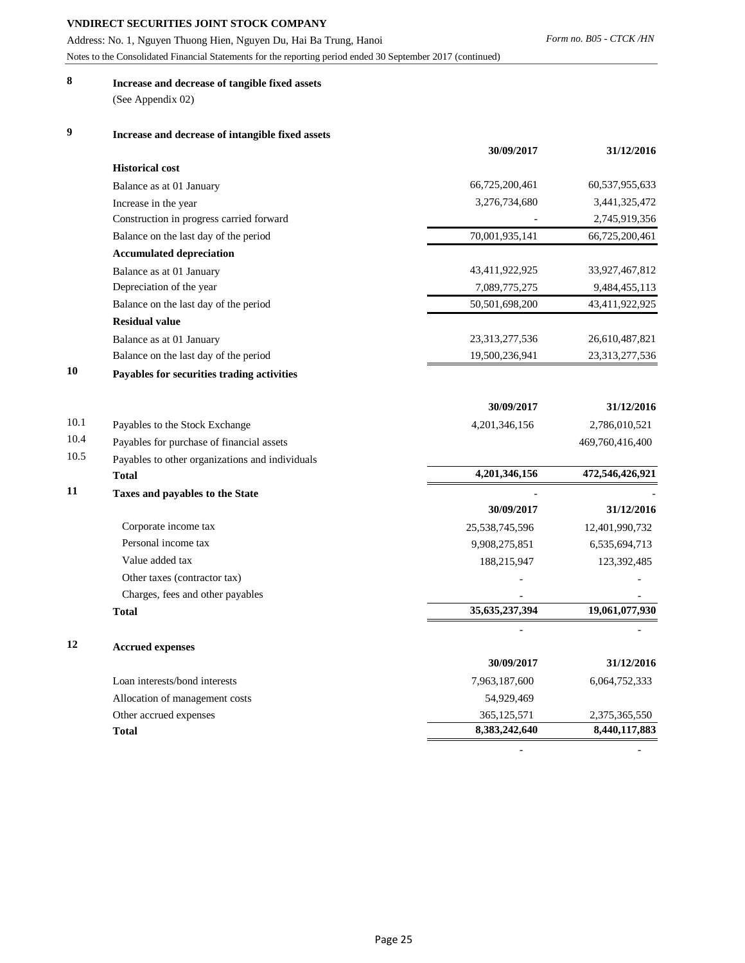Address: No. 1, Nguyen Thuong Hien, Nguyen Du, Hai Ba Trung, Hanoi

Notes to the Consolidated Financial Statements for the reporting period ended 30 September 2017 (continued)

**8 Increase and decrease of tangible fixed assets**

(See Appendix 02)

### **9 Increase and decrease of intangible fixed assets**

|      |                                                 | 30/09/2017       | 31/12/2016        |
|------|-------------------------------------------------|------------------|-------------------|
|      | <b>Historical cost</b>                          |                  |                   |
|      | Balance as at 01 January                        | 66,725,200,461   | 60,537,955,633    |
|      | Increase in the year                            | 3,276,734,680    | 3,441,325,472     |
|      | Construction in progress carried forward        |                  | 2,745,919,356     |
|      | Balance on the last day of the period           | 70,001,935,141   | 66,725,200,461    |
|      | <b>Accumulated depreciation</b>                 |                  |                   |
|      | Balance as at 01 January                        | 43,411,922,925   | 33,927,467,812    |
|      | Depreciation of the year                        | 7,089,775,275    | 9,484,455,113     |
|      | Balance on the last day of the period           | 50,501,698,200   | 43,411,922,925    |
|      | <b>Residual value</b>                           |                  |                   |
|      | Balance as at 01 January                        | 23,313,277,536   | 26,610,487,821    |
|      | Balance on the last day of the period           | 19,500,236,941   | 23, 313, 277, 536 |
| 10   | Payables for securities trading activities      |                  |                   |
|      |                                                 | 30/09/2017       | 31/12/2016        |
| 10.1 | Payables to the Stock Exchange                  | 4, 201, 346, 156 | 2,786,010,521     |
| 10.4 | Payables for purchase of financial assets       |                  | 469,760,416,400   |
| 10.5 | Payables to other organizations and individuals |                  |                   |
|      | <b>Total</b>                                    | 4,201,346,156    | 472,546,426,921   |
| 11   | Taxes and payables to the State                 |                  |                   |
|      |                                                 | 30/09/2017       | 31/12/2016        |
|      | Corporate income tax                            | 25,538,745,596   | 12,401,990,732    |
|      | Personal income tax                             | 9,908,275,851    | 6,535,694,713     |
|      | Value added tax                                 | 188,215,947      | 123,392,485       |
|      | Other taxes (contractor tax)                    |                  |                   |
|      | Charges, fees and other payables                |                  |                   |
|      | <b>Total</b>                                    | 35,635,237,394   | 19,061,077,930    |
| 12   | <b>Accrued expenses</b>                         |                  |                   |
|      |                                                 | 30/09/2017       | 31/12/2016        |
|      | Loan interests/bond interests                   | 7,963,187,600    | 6,064,752,333     |
|      | Allocation of management costs                  | 54,929,469       |                   |
|      | Other accrued expenses                          | 365,125,571      | 2,375,365,550     |
|      |                                                 |                  |                   |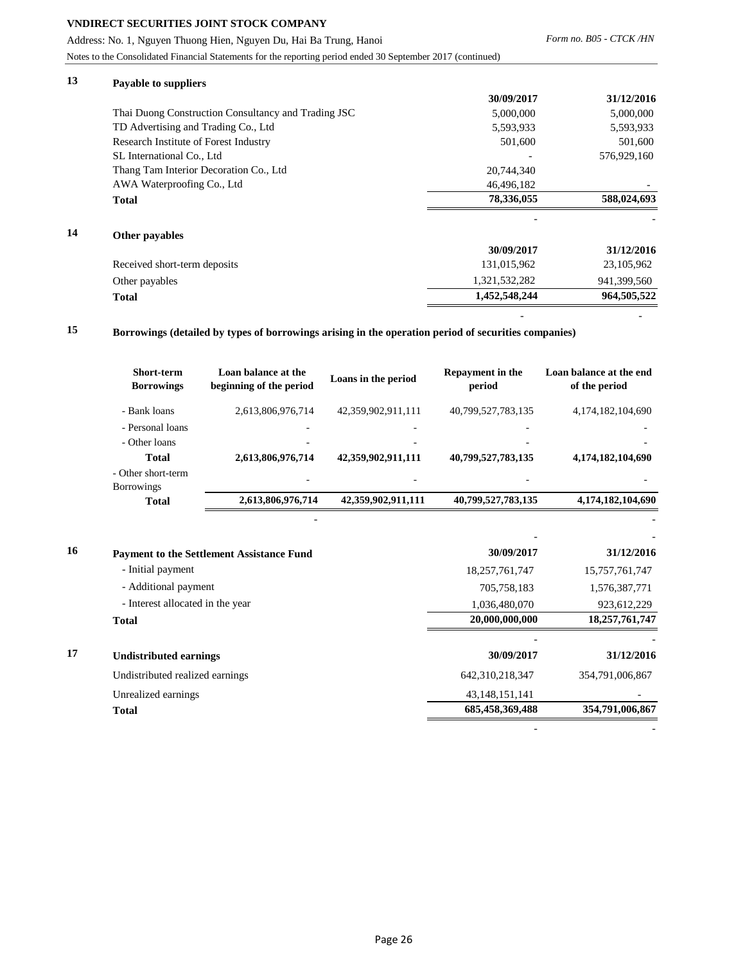Address: No. 1, Nguyen Thuong Hien, Nguyen Du, Hai Ba Trung, Hanoi

Notes to the Consolidated Financial Statements for the reporting period ended 30 September 2017 (continued)

- -

- -

- -

| 13 | Payable to suppliers                                |               |             |
|----|-----------------------------------------------------|---------------|-------------|
|    |                                                     | 30/09/2017    | 31/12/2016  |
|    | Thai Duong Construction Consultancy and Trading JSC | 5,000,000     | 5,000,000   |
|    | TD Advertising and Trading Co., Ltd                 | 5,593,933     | 5,593,933   |
|    | Research Institute of Forest Industry               | 501,600       | 501,600     |
|    | SL International Co., Ltd                           |               | 576,929,160 |
|    | Thang Tam Interior Decoration Co., Ltd              | 20,744,340    |             |
|    | AWA Waterproofing Co., Ltd                          | 46,496,182    |             |
|    | <b>Total</b>                                        | 78,336,055    | 588,024,693 |
| 14 | Other payables                                      |               |             |
|    |                                                     | 30/09/2017    | 31/12/2016  |
|    | Received short-term deposits                        | 131,015,962   | 23,105,962  |
|    | Other payables                                      | 1,321,532,282 | 941,399,560 |
|    | <b>Total</b>                                        | 1,452,548,244 | 964,505,522 |

### **15 Borrowings (detailed by types of borrowings arising in the operation period of securities companies)**

|                                                             | period                                                                                    | of the period                                                                         |
|-------------------------------------------------------------|-------------------------------------------------------------------------------------------|---------------------------------------------------------------------------------------|
|                                                             |                                                                                           | 4, 174, 182, 104, 690                                                                 |
|                                                             |                                                                                           |                                                                                       |
| -                                                           | -                                                                                         |                                                                                       |
|                                                             |                                                                                           | 4,174,182,104,690                                                                     |
|                                                             |                                                                                           |                                                                                       |
|                                                             |                                                                                           | 4,174,182,104,690                                                                     |
| 2,613,806,976,714<br>2,613,806,976,714<br>2,613,806,976,714 | beginning of the period<br>42,359,902,911,111<br>42,359,902,911,111<br>42,359,902,911,111 | Loans in the period<br>40,799,527,783,135<br>40,799,527,783,135<br>40,799,527,783,135 |

| 16 | <b>Payment to the Settlement Assistance Fund</b> | 30/09/2017        | 31/12/2016      |
|----|--------------------------------------------------|-------------------|-----------------|
|    | - Initial payment                                | 18,257,761,747    | 15,757,761,747  |
|    | - Additional payment                             | 705,758,183       | 1,576,387,771   |
|    | - Interest allocated in the year                 | 1,036,480,070     | 923,612,229     |
|    | <b>Total</b>                                     | 20,000,000,000    | 18,257,761,747  |
|    |                                                  |                   |                 |
| 17 | <b>Undistributed earnings</b>                    | 30/09/2017        | 31/12/2016      |
|    | Undistributed realized earnings                  | 642,310,218,347   | 354,791,006,867 |
|    | Unrealized earnings                              | 43, 148, 151, 141 |                 |
|    | <b>Total</b>                                     | 685,458,369,488   | 354,791,006,867 |
|    |                                                  |                   |                 |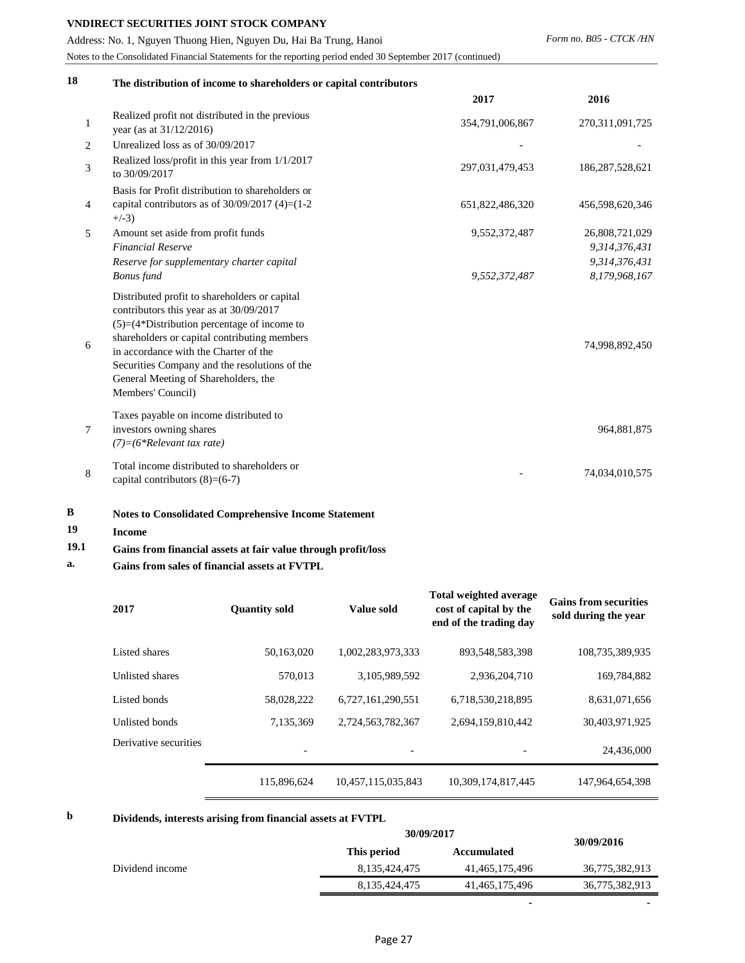Address: No. 1, Nguyen Thuong Hien, Nguyen Du, Hai Ba Trung, Hanoi Notes to the Consolidated Financial Statements for the reporting period ended 30 September 2017 (continued)

| 18 | The distribution of income to shareholders or capital contributors                                                                                                                                                                                                                                                                                |                 |                    |
|----|---------------------------------------------------------------------------------------------------------------------------------------------------------------------------------------------------------------------------------------------------------------------------------------------------------------------------------------------------|-----------------|--------------------|
|    |                                                                                                                                                                                                                                                                                                                                                   | 2017            | 2016               |
| 1  | Realized profit not distributed in the previous<br>year (as at 31/12/2016)                                                                                                                                                                                                                                                                        | 354,791,006,867 | 270, 311, 091, 725 |
| 2  | Unrealized loss as of 30/09/2017                                                                                                                                                                                                                                                                                                                  |                 |                    |
| 3  | Realized loss/profit in this year from 1/1/2017<br>to 30/09/2017                                                                                                                                                                                                                                                                                  | 297,031,479,453 | 186,287,528,621    |
| 4  | Basis for Profit distribution to shareholders or<br>capital contributors as of $30/09/2017$ (4)=(1-2<br>$+/-3)$                                                                                                                                                                                                                                   | 651,822,486,320 | 456,598,620,346    |
| 5  | Amount set aside from profit funds                                                                                                                                                                                                                                                                                                                | 9,552,372,487   | 26,808,721,029     |
|    | <b>Financial Reserve</b>                                                                                                                                                                                                                                                                                                                          |                 | 9,314,376,431      |
|    | Reserve for supplementary charter capital                                                                                                                                                                                                                                                                                                         |                 | 9,314,376,431      |
|    | <b>Bonus</b> fund                                                                                                                                                                                                                                                                                                                                 | 9,552,372,487   | 8,179,968,167      |
| 6  | Distributed profit to shareholders or capital<br>contributors this year as at 30/09/2017<br>$(5)=(4*Distribution)$ percentage of income to<br>shareholders or capital contributing members<br>in accordance with the Charter of the<br>Securities Company and the resolutions of the<br>General Meeting of Shareholders, the<br>Members' Council) |                 | 74,998,892,450     |
| 7  | Taxes payable on income distributed to<br>investors owning shares<br>$(7) = (6 * Relevant tax rate)$                                                                                                                                                                                                                                              |                 | 964,881,875        |
| 8  | Total income distributed to shareholders or<br>capital contributors $(8)=(6-7)$                                                                                                                                                                                                                                                                   |                 | 74,034,010,575     |

### **B Notes to Consolidated Comprehensive Income Statement**

### **19 Income**

### **19.1 Gains from financial assets at fair value through profit/loss**

### **a. Gains from sales of financial assets at FVTPL**

| 2017                  | <b>Quantity sold</b>     | Value sold         | <b>Total weighted average</b><br>cost of capital by the<br>end of the trading day | <b>Gains from securities</b><br>sold during the year |
|-----------------------|--------------------------|--------------------|-----------------------------------------------------------------------------------|------------------------------------------------------|
| Listed shares         | 50,163,020               | 1,002,283,973,333  | 893,548,583,398                                                                   | 108,735,389,935                                      |
| Unlisted shares       | 570,013                  | 3,105,989,592      | 2,936,204,710                                                                     | 169.784.882                                          |
| Listed bonds          | 58,028,222               | 6,727,161,290,551  | 6,718,530,218,895                                                                 | 8,631,071,656                                        |
| Unlisted bonds        | 7,135,369                | 2,724,563,782,367  | 2,694,159,810,442                                                                 | 30,403,971,925                                       |
| Derivative securities | $\overline{\phantom{0}}$ | ٠                  |                                                                                   | 24,436,000                                           |
|                       | 115,896,624              | 10,457,115,035,843 | 10,309,174,817,445                                                                | 147,964,654,398                                      |

### **b Dividends, interests arising from financial assets at FVTPL**

|                 | 30/09/2017       | 30/09/2016         |                |
|-----------------|------------------|--------------------|----------------|
|                 | This period      | <b>Accumulated</b> |                |
| Dividend income | 8, 135, 424, 475 | 41, 465, 175, 496  | 36,775,382,913 |
|                 | 8.135.424.475    | 41.465.175.496     | 36,775,382,913 |
|                 |                  |                    |                |

 **- -**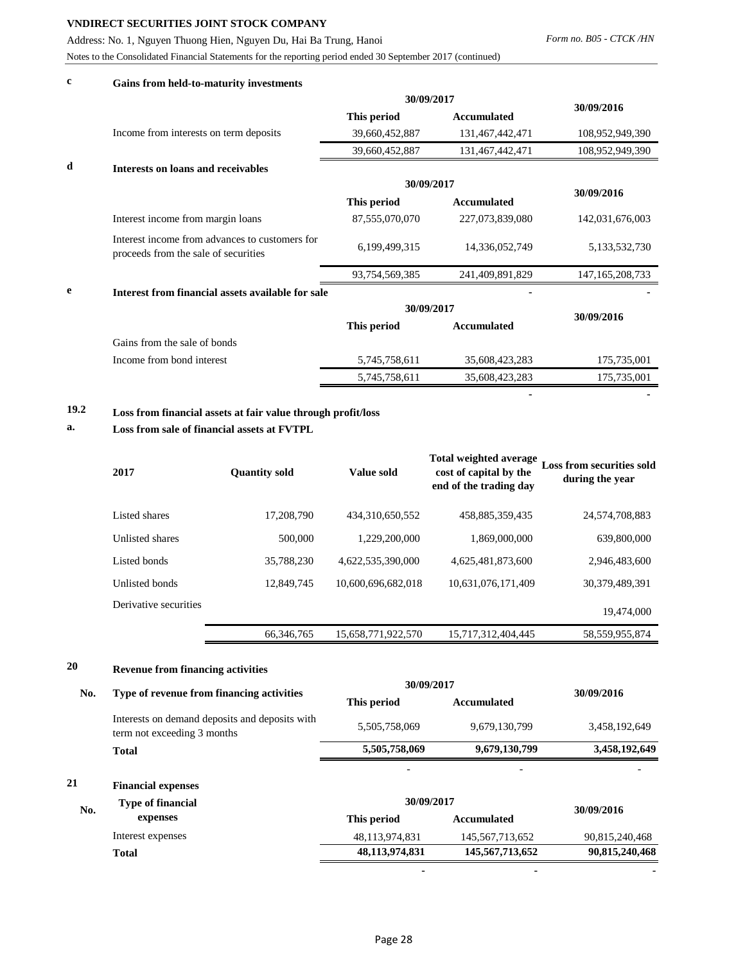Address: No. 1, Nguyen Thuong Hien, Nguyen Du, Hai Ba Trung, Hanoi

Notes to the Consolidated Financial Statements for the reporting period ended 30 September 2017 (continued)

### **c Gains from held-to-maturity investments**

 **- -** 

**- - -**

|   |                                                                                        | 30/09/2017     | 30/09/2016         |                    |  |
|---|----------------------------------------------------------------------------------------|----------------|--------------------|--------------------|--|
|   |                                                                                        | This period    | <b>Accumulated</b> |                    |  |
|   | Income from interests on term deposits                                                 | 39,660,452,887 | 131,467,442,471    | 108,952,949,390    |  |
|   |                                                                                        | 39,660,452,887 | 131,467,442,471    | 108,952,949,390    |  |
| d | Interests on loans and receivables                                                     |                |                    |                    |  |
|   |                                                                                        |                | 30/09/2017         |                    |  |
|   |                                                                                        | This period    | Accumulated        | 30/09/2016         |  |
|   | Interest income from margin loans                                                      | 87,555,070,070 | 227,073,839,080    | 142,031,676,003    |  |
|   | Interest income from advances to customers for<br>proceeds from the sale of securities | 6,199,499,315  | 14,336,052,749     | 5,133,532,730      |  |
|   |                                                                                        | 93,754,569,385 | 241,409,891,829    | 147, 165, 208, 733 |  |
| e | Interest from financial assets available for sale                                      |                |                    |                    |  |
|   |                                                                                        | 30/09/2017     |                    |                    |  |
|   |                                                                                        | This period    | <b>Accumulated</b> | 30/09/2016         |  |
|   | Gains from the sale of bonds                                                           |                |                    |                    |  |
|   | Income from bond interest                                                              | 5,745,758,611  | 35,608,423,283     | 175,735,001        |  |
|   |                                                                                        | 5,745,758,611  | 35,608,423,283     | 175,735,001        |  |

## **19.2 Loss from financial assets at fair value through profit/loss**

### **a. Loss from sale of financial assets at FVTPL**

| 2017                  | <b>Quantity sold</b> | Value sold         | <b>Total weighted average</b><br>cost of capital by the<br>end of the trading day | Loss from securities sold<br>during the year |
|-----------------------|----------------------|--------------------|-----------------------------------------------------------------------------------|----------------------------------------------|
| Listed shares         | 17,208,790           | 434,310,650,552    | 458,885,359,435                                                                   | 24,574,708,883                               |
| Unlisted shares       | 500,000              | 1.229.200.000      | 1,869,000,000                                                                     | 639,800,000                                  |
| Listed bonds          | 35,788,230           | 4.622.535.390.000  | 4.625.481.873.600                                                                 | 2.946.483.600                                |
| Unlisted bonds        | 12,849,745           | 10.600.696.682.018 | 10.631.076.171.409                                                                | 30,379,489,391                               |
| Derivative securities |                      |                    |                                                                                   | 19,474,000                                   |
|                       | 66, 346, 765         | 15,658,771,922,570 | 15.717.312.404.445                                                                | 58, 559, 955, 874                            |

### **20 Revenue from financing activities**

|     |                                                                               | 30/09/2017    |               |               |
|-----|-------------------------------------------------------------------------------|---------------|---------------|---------------|
| No. | Type of revenue from financing activities                                     | This period   | Accumulated   | 30/09/2016    |
|     | Interests on demand deposits and deposits with<br>term not exceeding 3 months | 5,505,758,069 | 9,679,130,799 | 3,458,192,649 |
|     | Total                                                                         | 5,505,758,069 | 9,679,130,799 | 3,458,192,649 |
|     |                                                                               |               | -             |               |

## **21 Financial expenses**

|     | Type of financial | 30/09/2017     |                    |                |
|-----|-------------------|----------------|--------------------|----------------|
| No. | expenses          | This period    | Accumulated        | 30/09/2016     |
|     | Interest expenses | 48.113.974.831 | 145.567.713.652    | 90,815,240,468 |
|     | Total             | 48,113,974,831 | 145, 567, 713, 652 | 90,815,240,468 |
|     |                   |                |                    |                |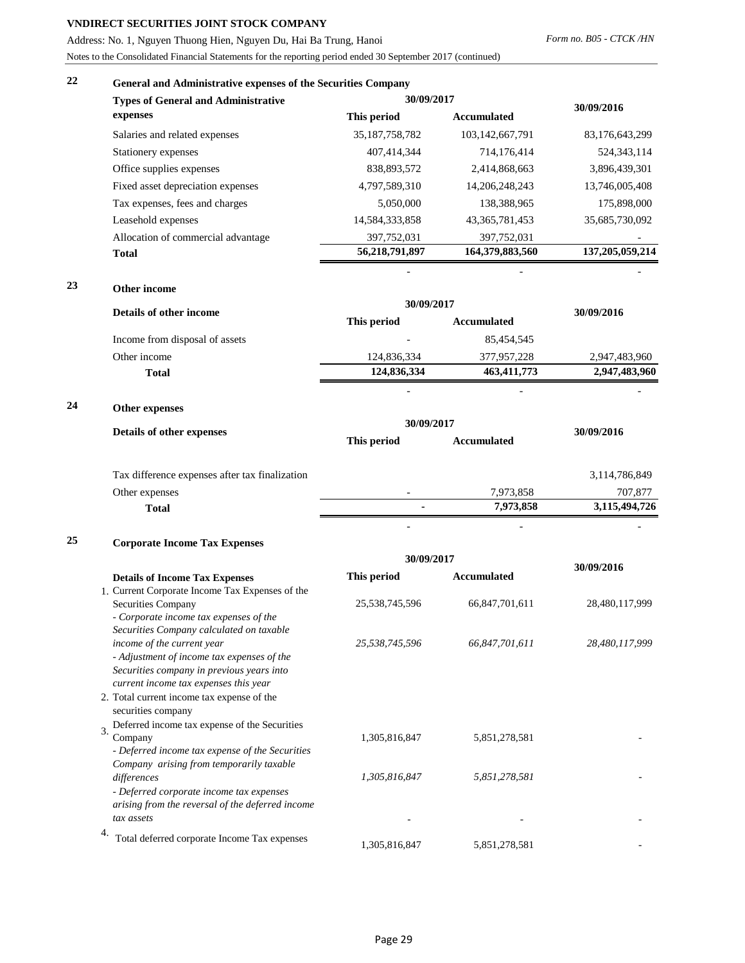Address: No. 1, Nguyen Thuong Hien, Nguyen Du, Hai Ba Trung, Hanoi

Notes to the Consolidated Financial Statements for the reporting period ended 30 September 2017 (continued)

| 22 | General and Administrative expenses of the Securities Company |                   |                    |                    |
|----|---------------------------------------------------------------|-------------------|--------------------|--------------------|
|    | <b>Types of General and Administrative</b>                    | 30/09/2017        |                    |                    |
|    | expenses                                                      | This period       | Accumulated        | 30/09/2016         |
|    | Salaries and related expenses                                 | 35, 187, 758, 782 | 103, 142, 667, 791 | 83,176,643,299     |
|    | Stationery expenses                                           | 407,414,344       | 714,176,414        | 524, 343, 114      |
|    | Office supplies expenses                                      | 838,893,572       | 2,414,868,663      | 3,896,439,301      |
|    | Fixed asset depreciation expenses                             | 4,797,589,310     | 14, 206, 248, 243  | 13,746,005,408     |
|    | Tax expenses, fees and charges                                | 5,050,000         | 138,388,965        | 175,898,000        |
|    | Leasehold expenses                                            | 14,584,333,858    | 43, 365, 781, 453  | 35,685,730,092     |
|    | Allocation of commercial advantage                            | 397,752,031       | 397,752,031        |                    |
|    | <b>Total</b>                                                  | 56,218,791,897    | 164,379,883,560    | 137, 205, 059, 214 |
| 23 | Other income                                                  |                   |                    |                    |
|    | Details of other income                                       | 30/09/2017        |                    | 30/09/2016         |
|    |                                                               | This period       | Accumulated        |                    |

| THIS person              |                          |                          |
|--------------------------|--------------------------|--------------------------|
| $\overline{\phantom{0}}$ | 85.454.545               |                          |
| 124,836,334              | 377,957,228              | 2,947,483,960            |
| 124,836,334              | 463,411,773              | 2,947,483,960            |
| -                        | $\overline{\phantom{0}}$ | $\overline{\phantom{0}}$ |
|                          |                          | лишниате                 |

### **24 Other expenses**

|                                                | 30/09/2017                 |           |               |
|------------------------------------------------|----------------------------|-----------|---------------|
| Details of other expenses                      | This period<br>Accumulated |           | 30/09/2016    |
| Tax difference expenses after tax finalization |                            |           | 3,114,786,849 |
| Other expenses                                 | $\overline{\phantom{0}}$   | 7,973,858 | 707,877       |
| <b>Total</b>                                   | $\overline{\phantom{a}}$   | 7,973,858 | 3,115,494,726 |

- - -

## **25 Corporate Income Tax Expenses**

|                                                     | 30/09/2017     |                |                |  |
|-----------------------------------------------------|----------------|----------------|----------------|--|
| <b>Details of Income Tax Expenses</b>               | This period    | Accumulated    | 30/09/2016     |  |
| 1. Current Corporate Income Tax Expenses of the     |                |                |                |  |
| <b>Securities Company</b>                           | 25,538,745,596 | 66,847,701,611 | 28,480,117,999 |  |
| - Corporate income tax expenses of the              |                |                |                |  |
| Securities Company calculated on taxable            |                |                |                |  |
| income of the current year                          | 25,538,745,596 | 66,847,701,611 | 28,480,117,999 |  |
| - Adjustment of income tax expenses of the          |                |                |                |  |
| Securities company in previous years into           |                |                |                |  |
| current income tax expenses this year               |                |                |                |  |
| 2. Total current income tax expense of the          |                |                |                |  |
| securities company                                  |                |                |                |  |
| Deferred income tax expense of the Securities<br>3. |                |                |                |  |
| Company                                             | 1,305,816,847  | 5,851,278,581  |                |  |
| - Deferred income tax expense of the Securities     |                |                |                |  |
| Company arising from temporarily taxable            |                |                |                |  |
| differences                                         | 1,305,816,847  | 5,851,278,581  |                |  |
| - Deferred corporate income tax expenses            |                |                |                |  |
| arising from the reversal of the deferred income    |                |                |                |  |
| tax assets                                          |                |                |                |  |
| Total deferred corporate Income Tax expenses        |                |                |                |  |
|                                                     | 1,305,816,847  | 5,851,278,581  |                |  |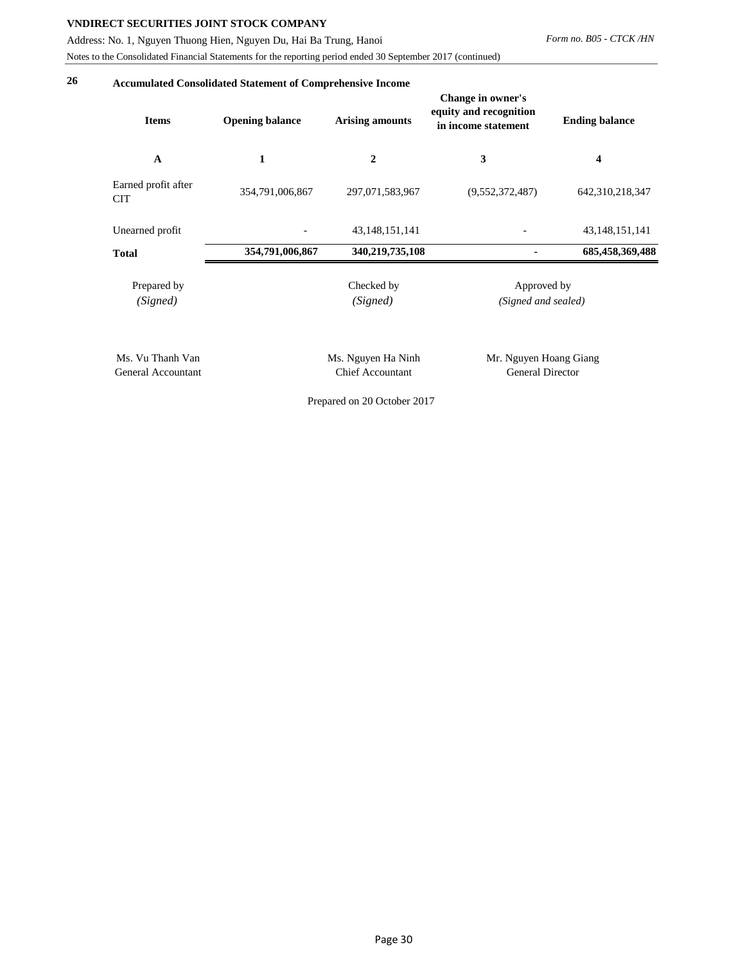Address: No. 1, Nguyen Thuong Hien, Nguyen Du, Hai Ba Trung, Hanoi

Notes to the Consolidated Financial Statements for the reporting period ended 30 September 2017 (continued)

| <b>Items</b>                      | <b>Opening balance</b><br><b>Arising amounts</b> |                        | Change in owner's<br>equity and recognition<br>in income statement | <b>Ending balance</b> |  |
|-----------------------------------|--------------------------------------------------|------------------------|--------------------------------------------------------------------|-----------------------|--|
| A                                 | 1                                                | $\mathbf{2}$           | 3                                                                  | 4                     |  |
| Earned profit after<br><b>CIT</b> | 354,791,006,867                                  | 297,071,583,967        | (9,552,372,487)                                                    | 642,310,218,347       |  |
| Unearned profit                   |                                                  | 43, 148, 151, 141      |                                                                    | 43, 148, 151, 141     |  |
| <b>Total</b>                      | 354,791,006,867                                  | 340,219,735,108        |                                                                    | 685,458,369,488       |  |
| Prepared by<br>(Signed)           |                                                  | Checked by<br>(Signed) | Approved by<br>(Signed and sealed)                                 |                       |  |

Ms. Vu Thanh Van Ms. Nguyen Ha Ninh General Accountant Chief Accountant

Mr. Nguyen Hoang Giang General Director

Prepared on 20 October 2017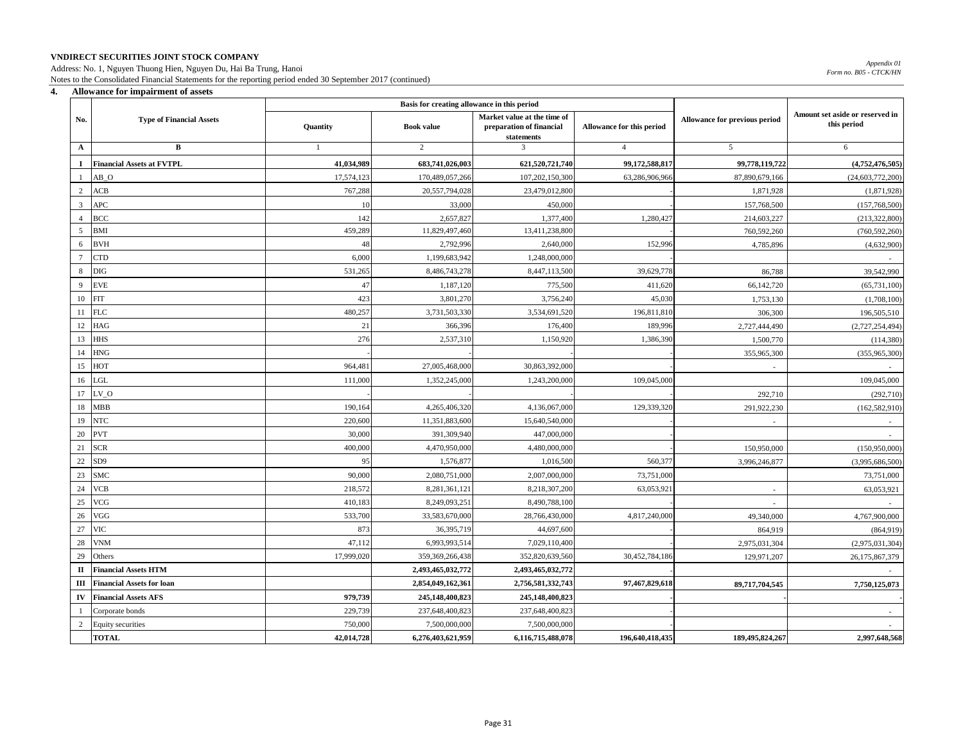Address: No. 1, Nguyen Thuong Hien, Nguyen Du, Hai Ba Trung, Hanoi

Notes to the Consolidated Financial Statements for the reporting period ended 30 September 2017 (continued)

**4. Allowance for impairment of assets**

|                 |                                  | Basis for creating allowance in this period |                   |                                                                       |                           |                               |                                                |
|-----------------|----------------------------------|---------------------------------------------|-------------------|-----------------------------------------------------------------------|---------------------------|-------------------------------|------------------------------------------------|
| No.             | <b>Type of Financial Assets</b>  | Quantity                                    | <b>Book value</b> | Market value at the time of<br>preparation of financial<br>statements | Allowance for this period | Allowance for previous period | Amount set aside or reserved in<br>this period |
| $\mathbf{A}$    | B                                | 1                                           | $\overline{c}$    | $\mathcal{R}$                                                         | $\overline{4}$            | 5                             | 6                                              |
| $\mathbf{I}$    | <b>Financial Assets at FVTPL</b> | 41,034,989                                  | 683,741,026,003   | 621,520,721,740                                                       | 99,172,588,817            | 99,778,119,722                | (4,752,476,505)                                |
|                 | AB <sub>O</sub>                  | 17,574,123                                  | 170,489,057,266   | 107,202,150,300                                                       | 63,286,906,966            | 87,890,679,166                | (24, 603, 772, 200)                            |
| 2               | ACB                              | 767,288                                     | 20,557,794,028    | 23,479,012,800                                                        |                           | 1,871,928                     | (1,871,928)                                    |
| 3               | APC                              | 10                                          | 33,000            | 450,000                                                               |                           | 157,768,500                   | (157,768,500)                                  |
| $\overline{4}$  | <b>BCC</b>                       | 142                                         | 2,657,827         | 1,377,400                                                             | 1,280,427                 | 214,603,227                   | (213, 322, 800)                                |
| 5               | BMI                              | 459,289                                     | 11,829,497,460    | 13,411,238,800                                                        |                           | 760,592,260                   | (760, 592, 260)                                |
| 6               | <b>BVH</b>                       | 48                                          | 2,792,996         | 2,640,000                                                             | 152,996                   | 4,785,896                     | (4,632,900)                                    |
| $7\phantom{.0}$ | <b>CTD</b>                       | 6,000                                       | 1,199,683,942     | 1,248,000,000                                                         |                           |                               |                                                |
| 8               | <b>DIG</b>                       | 531,26:                                     | 8,486,743,278     | 8,447,113,500                                                         | 39,629,778                | 86,788                        | 39,542,990                                     |
| 9               | EVE                              | 47                                          | 1,187,120         | 775,500                                                               | 411,620                   | 66,142,720                    | (65, 731, 100)                                 |
| 10              | FIT                              | 423                                         | 3,801,270         | 3,756,240                                                             | 45,030                    | 1,753,130                     | (1,708,100)                                    |
| 11              | FLC                              | 480,257                                     | 3,731,503,330     | 3,534,691,520                                                         | 196,811,810               | 306,300                       | 196,505,510                                    |
| 12              | HAG                              | 21                                          | 366,396           | 176,400                                                               | 189,996                   | 2,727,444,490                 | (2,727,254,494)                                |
| 13              | HHS                              | 276                                         | 2,537,310         | 1,150,920                                                             | 1,386,390                 | 1,500,770                     | (114, 380)                                     |
| 14              | HNG                              |                                             |                   |                                                                       |                           | 355,965,300                   | (355,965,300)                                  |
| 15              | HOT                              | 964,48                                      | 27,005,468,000    | 30,863,392,000                                                        |                           |                               |                                                |
| 16              | LGL                              | 111,000                                     | 1,352,245,000     | 1,243,200,000                                                         | 109,045,000               |                               | 109,045,000                                    |
| 17              | $LV_0$                           |                                             |                   |                                                                       |                           | 292,710                       | (292, 710)                                     |
| 18              | MBB                              | 190,164                                     | 4,265,406,320     | 4,136,067,000                                                         | 129,339,320               | 291,922,230                   | (162, 582, 910)                                |
| 19              | <b>NTC</b>                       | 220,600                                     | 11,351,883,600    | 15,640,540,000                                                        |                           |                               |                                                |
| 20              | <b>PVT</b>                       | 30,000                                      | 391,309,940       | 447,000,000                                                           |                           |                               |                                                |
| 21              | <b>SCR</b>                       | 400,000                                     | 4,470,950,000     | 4,480,000,000                                                         |                           | 150,950,000                   | (150,950,000)                                  |
| $22\,$          | SD <sub>9</sub>                  | 95                                          | 1,576,877         | 1,016,500                                                             | 560,377                   | 3,996,246,877                 | (3,995,686,500)                                |
| 23              | SMC                              | 90,000                                      | 2,080,751,000     | 2,007,000,000                                                         | 73,751,000                |                               | 73,751,000                                     |
| 24              | VCB                              | 218,572                                     | 8,281,361,121     | 8,218,307,200                                                         | 63,053,921                |                               | 63,053,921                                     |
| 25              | <b>VCG</b>                       | 410,183                                     | 8,249,093,251     | 8,490,788,100                                                         |                           |                               |                                                |
| 26              | VGG                              | 533,700                                     | 33,583,670,000    | 28,766,430,000                                                        | 4,817,240,000             | 49,340,000                    | 4,767,900,000                                  |
| 27              | VIC                              | 873                                         | 36,395,719        | 44,697,600                                                            |                           | 864,919                       | (864, 919)                                     |
| 28              | <b>VNM</b>                       | 47,112                                      | 6,993,993,514     | 7,029,110,400                                                         |                           | 2,975,031,304                 | (2,975,031,304)                                |
| 29              | Others                           | 17,999,020                                  | 359,369,266,438   | 352,820,639,560                                                       | 30,452,784,186            | 129,971,207                   | 26,175,867,379                                 |
| П               | <b>Financial Assets HTM</b>      |                                             | 2,493,465,032,772 | 2,493,465,032,772                                                     |                           |                               |                                                |
| Ш               | <b>Financial Assets for loan</b> |                                             | 2,854,049,162,361 | 2,756,581,332,743                                                     | 97,467,829,618            | 89,717,704,545                | 7,750,125,073                                  |
| IV              | <b>Financial Assets AFS</b>      | 979,739                                     | 245,148,400,823   | 245,148,400,823                                                       |                           |                               |                                                |
|                 | Corporate bonds                  | 229,739                                     | 237,648,400,823   | 237,648,400,823                                                       |                           |                               |                                                |
| 2               | <b>Equity securities</b>         | 750,000                                     | 7,500,000,000     | 7,500,000,000                                                         |                           |                               |                                                |
|                 | <b>TOTAL</b>                     | 42,014,728                                  | 6,276,403,621,959 | 6,116,715,488,078                                                     | 196,640,418,435           | 189,495,824,267               | 2,997,648,568                                  |

*Appendix 01 Form no. B05 - CTCK/HN*